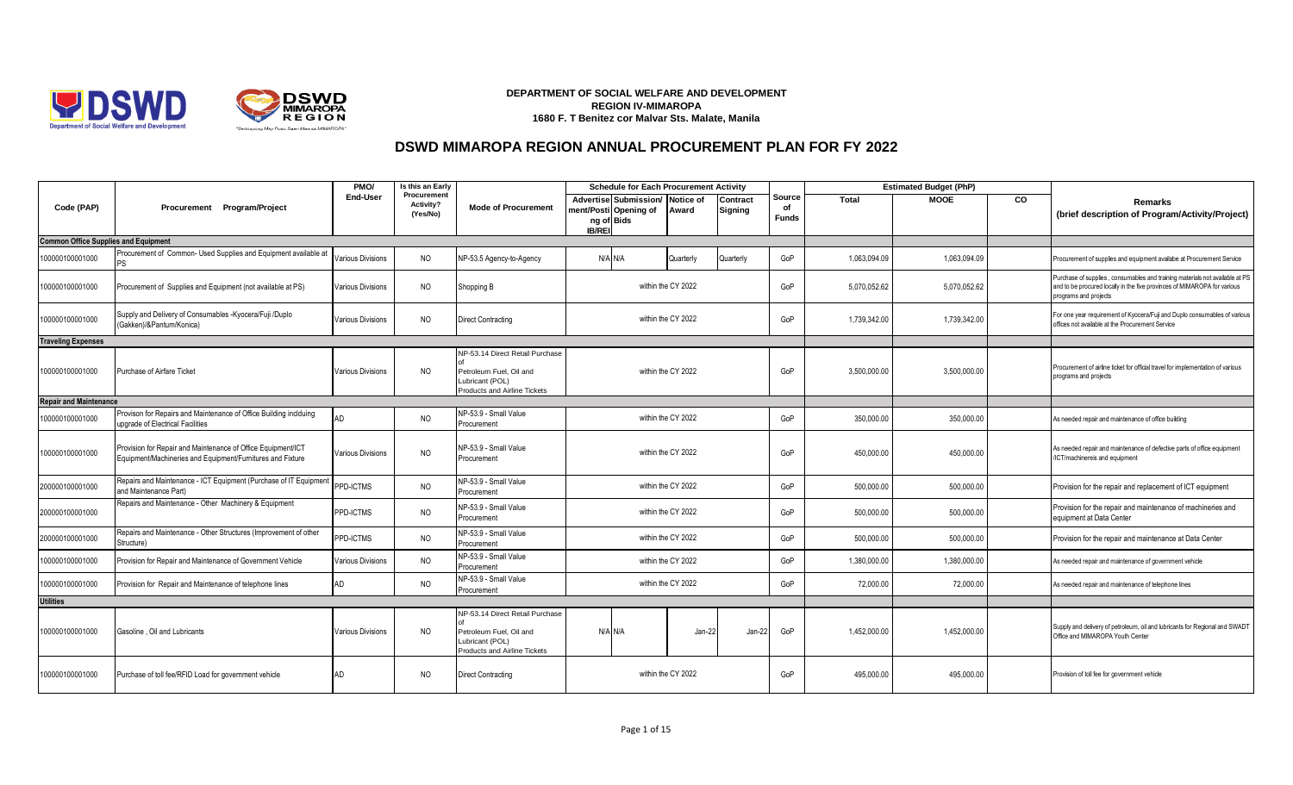



## **DEPARTMENT OF SOCIAL WELFARE AND DEVELOPMENT REGION IV-MIMAROPA 1680 F. T Benitez cor Malvar Sts. Malate, Manila**

## **DSWD MIMAROPA REGION ANNUAL PROCUREMENT PLAN FOR FY 2022**

|                                             |                                                                                                                            | PMO/                     | Is this an Early                     |                                                                                                               | <b>Schedule for Each Procurement Activity</b>                                           |                    |                     |                       | <b>Estimated Budget (PhP)</b> |              |    |                                                                                                                                                                                   |
|---------------------------------------------|----------------------------------------------------------------------------------------------------------------------------|--------------------------|--------------------------------------|---------------------------------------------------------------------------------------------------------------|-----------------------------------------------------------------------------------------|--------------------|---------------------|-----------------------|-------------------------------|--------------|----|-----------------------------------------------------------------------------------------------------------------------------------------------------------------------------------|
| Code (PAP)                                  | Procurement Program/Project                                                                                                | <b>End-User</b>          | Procurement<br>Activity?<br>(Yes/No) | <b>Mode of Procurement</b>                                                                                    | Advertise Submission/ Notice of<br>ment/Posti Opening of<br>ng of Bids<br><b>IB/REI</b> | Award              | Contract<br>Signing | Source<br>of<br>Funds | Total                         | <b>MOOE</b>  | CO | <b>Remarks</b><br>(brief description of Program/Activity/Project)                                                                                                                 |
| <b>Common Office Supplies and Equipment</b> |                                                                                                                            |                          |                                      |                                                                                                               |                                                                                         |                    |                     |                       |                               |              |    |                                                                                                                                                                                   |
| 100000100001000                             | Procurement of Common- Used Supplies and Equipment available at                                                            | <b>Various Divisions</b> | <b>NO</b>                            | NP-53.5 Agency-to-Agency                                                                                      | N/A N/A                                                                                 | Quarterly          | Quarterly           | GoP                   | 1,063,094.09                  | 1,063,094.09 |    | Procurement of supplies and equipment availabe at Procurement Service                                                                                                             |
| 100000100001000                             | Procurement of Supplies and Equipment (not available at PS)                                                                | <b>Various Divisions</b> | <b>NO</b>                            | Shopping B                                                                                                    |                                                                                         | within the CY 2022 |                     | GoP                   | 5,070,052.62                  | 5,070,052.62 |    | Purchase of supplies, consumables and training materials not available at PS<br>and to be procured locally in the five provinces of MIMAROPA for various<br>programs and projects |
| 100000100001000                             | Supply and Delivery of Consumables -Kyocera/Fuji /Duplo<br>Gakken)/&Pantum/Konica)                                         | <b>Various Divisions</b> | <b>NO</b>                            | <b>Direct Contracting</b>                                                                                     |                                                                                         | within the CY 2022 |                     | GoP                   | 1.739.342.00                  | 1,739,342.00 |    | or one year requirement of Kyocera/Fuji and Duplo consumables of various<br>offices not available at the Procurement Service                                                      |
| <b>Traveling Expenses</b>                   |                                                                                                                            |                          |                                      |                                                                                                               |                                                                                         |                    |                     |                       |                               |              |    |                                                                                                                                                                                   |
| 100000100001000                             | Purchase of Airfare Ticket                                                                                                 | <b>Various Divisions</b> | <b>NO</b>                            | NP-53.14 Direct Retail Purchase<br>Petroleum Fuel, Oil and<br>Lubricant (POL)<br>Products and Airline Tickets |                                                                                         | within the CY 2022 |                     | GoP                   | 3,500,000.00                  | 3,500,000.00 |    | Procurement of airline ticket for official travel for implementation of various<br>programs and projects                                                                          |
| <b>Repair and Maintenance</b>               |                                                                                                                            |                          |                                      |                                                                                                               |                                                                                         |                    |                     |                       |                               |              |    |                                                                                                                                                                                   |
| 100000100001000                             | Provison for Repairs and Maintenance of Office Building inclduing<br>upgrade of Electrical Facilities                      | AD                       | <b>NO</b>                            | NP-53.9 - Small Value<br>Procurement                                                                          |                                                                                         |                    |                     | GoP                   | 350,000.00                    | 350,000.00   |    | As needed repair and maintenance of office building                                                                                                                               |
| 100000100001000                             | Provision for Repair and Maintenance of Office Equipment/ICT<br>Equipment/Machineries and Equipment/Furnitures and Fixture | Various Divisions        | <b>NO</b>                            | NP-53.9 - Small Value<br>Procurement                                                                          | within the CY 2022<br>within the CY 2022<br>GoP                                         |                    |                     |                       | 450,000.00                    | 450,000.00   |    | As needed repair and maintenance of defective parts of office equipment<br>/ICT/machinereis and equipment                                                                         |
| 200000100001000                             | Repairs and Maintenance - ICT Equipment (Purchase of IT Equipment<br>and Maintenance Part)                                 | PPD-ICTMS                | NO                                   | NP-53.9 - Small Value<br>Procurement                                                                          |                                                                                         | within the CY 2022 |                     | GoP                   | 500,000.00                    | 500,000.00   |    | Provision for the repair and replacement of ICT equipment                                                                                                                         |
| 200000100001000                             | Repairs and Maintenance - Other Machinery & Equipment                                                                      | PPD-ICTMS                | <b>NO</b>                            | NP-53.9 - Small Value<br>Procurement                                                                          |                                                                                         | within the CY 2022 |                     | GoP                   | 500,000.00                    | 500,000.00   |    | Provision for the repair and maintenance of machineries and<br>equipment at Data Center                                                                                           |
| 200000100001000                             | Repairs and Maintenance - Other Structures (Improvement of other<br>Structure)                                             | PPD-ICTMS                | <b>NO</b>                            | NP-53.9 - Small Value<br>Procurement                                                                          |                                                                                         | within the CY 2022 |                     | GoP                   | 500,000.00                    | 500,000.00   |    | Provision for the repair and maintenance at Data Center                                                                                                                           |
| 100000100001000                             | Provision for Repair and Maintenance of Government Vehicle                                                                 | Various Divisions        | <b>NO</b>                            | NP-53.9 - Small Value<br>Procurement                                                                          |                                                                                         | within the CY 2022 |                     | GoP                   | 1,380,000.00                  | 1,380,000.00 |    | As needed repair and maintenance of government vehicle                                                                                                                            |
| 100000100001000                             | Provision for Repair and Maintenance of telephone lines                                                                    | AD                       | <b>NO</b>                            | NP-53.9 - Small Value<br>Procurement                                                                          |                                                                                         | within the CY 2022 |                     | GoP                   | 72,000.00                     | 72,000.00    |    | As needed repair and maintenance of telephone lines                                                                                                                               |
| <b>Utilities</b>                            |                                                                                                                            |                          |                                      |                                                                                                               |                                                                                         |                    |                     |                       |                               |              |    |                                                                                                                                                                                   |
| 100000100001000                             | Gasoline . Oil and Lubricants                                                                                              | <b>Various Divisions</b> | NO                                   | NP-53.14 Direct Retail Purchase<br>Petroleum Fuel, Oil and<br>Lubricant (POL)<br>Products and Airline Tickets | N/A N/A                                                                                 | Jan-22             | Jan-22              | GoP                   | 1,452,000.00                  | 1,452,000.00 |    | Supply and delivery of petroleum, oil and lubricants for Regional and SWADT<br>Office and MIMAROPA Youth Center                                                                   |
| 100000100001000                             | Purchase of toll fee/RFID Load for government vehicle                                                                      | AD                       | NO                                   | <b>Direct Contracting</b>                                                                                     |                                                                                         | within the CY 2022 |                     | GoP                   | 495,000.00                    | 495,000.00   |    | Provision of toll fee for government vehicle                                                                                                                                      |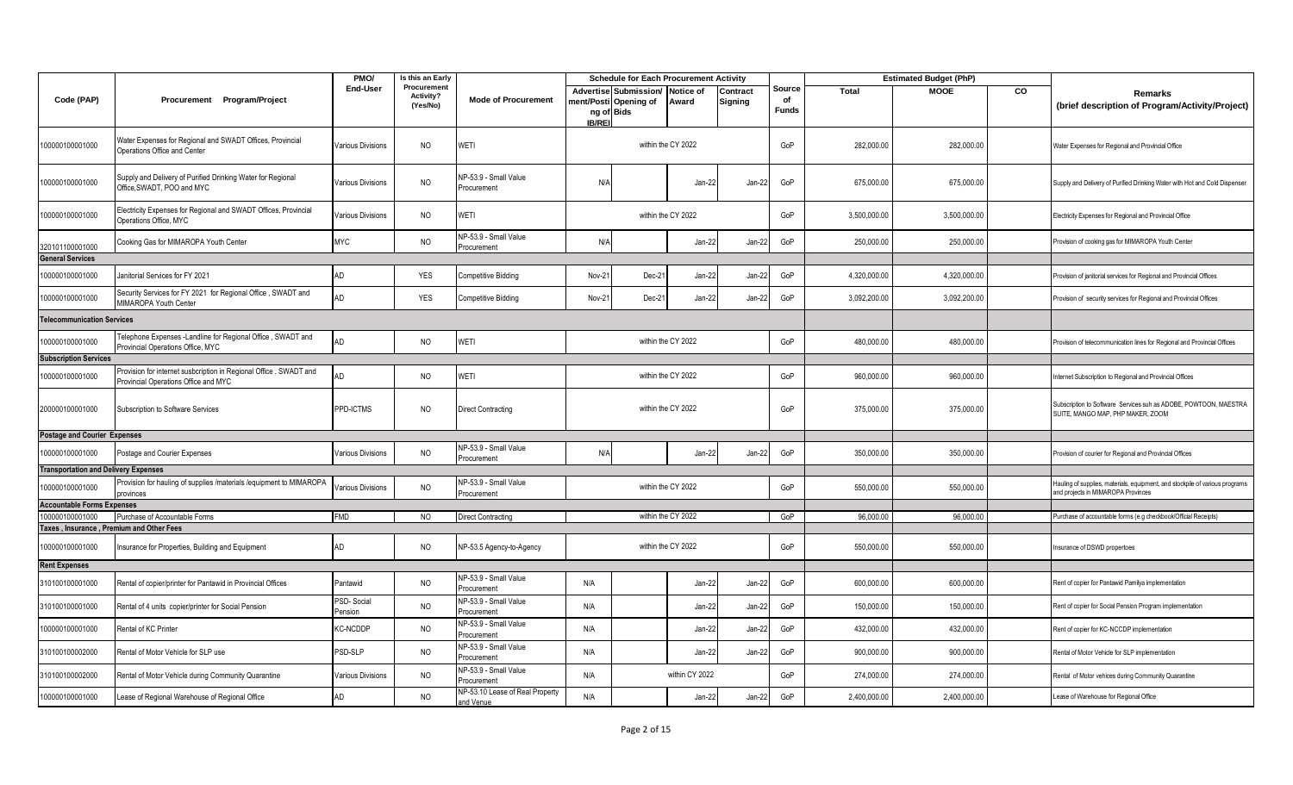|                                             |                                                                                                           | PMO/                     | Is this an Early                            |                                              | <b>Schedule for Each Procurement Activity</b> |                                                |                    |                     |                              |              | <b>Estimated Budget (PhP)</b> |    |                                                                                                                    |
|---------------------------------------------|-----------------------------------------------------------------------------------------------------------|--------------------------|---------------------------------------------|----------------------------------------------|-----------------------------------------------|------------------------------------------------|--------------------|---------------------|------------------------------|--------------|-------------------------------|----|--------------------------------------------------------------------------------------------------------------------|
| Code (PAP)                                  | Procurement Program/Project                                                                               | End-User                 | Procurement<br><b>Activity?</b><br>(Yes/No) | <b>Mode of Procurement</b>                   | ng of Bids<br><b>IB/REI</b>                   | Advertise Submission/<br>nent/Posti Opening of | Notice of<br>Award | Contract<br>Signing | Source<br>of<br><b>Funds</b> | Total        | <b>MOOE</b>                   | CO | Remarks<br>(brief description of Program/Activity/Project)                                                         |
| 100000100001000                             | Water Expenses for Regional and SWADT Offices, Provincial<br>Operations Office and Center                 | Various Divisions        | <b>NO</b>                                   | WETI                                         |                                               |                                                | within the CY 2022 |                     | GoP                          | 282,000.00   | 282,000.00                    |    | Water Expenses for Regional and Provincial Office                                                                  |
| 00000100001000                              | Supply and Delivery of Purified Drinking Water for Regional<br>Office, SWADT, POO and MYC                 | Various Divisions        | N <sub>O</sub>                              | NP-53.9 - Small Value<br>Procurement         | N/A                                           |                                                | Jan-22             | Jan-22              | GoP                          | 675,000.00   | 675,000.00                    |    | Supply and Delivery of Purified Drinking Water with Hot and Cold Dispenser                                         |
| 00000100001000                              | Electricity Expenses for Regional and SWADT Offices, Provincial<br>Operations Office, MYC                 | Various Divisions        | <b>NO</b>                                   | WETI                                         |                                               |                                                | within the CY 2022 |                     | GoP                          | 3,500,000.00 | 3,500,000.00                  |    | Electricity Expenses for Regional and Provincial Office                                                            |
| 320101100001000                             | Cooking Gas for MIMAROPA Youth Center                                                                     | <b>MYC</b>               | <b>NO</b>                                   | NP-53.9 - Small Value<br>Procurement         | N/f                                           |                                                | Jan-22             | Jan-22              | GoP                          | 250,000.00   | 250,000.00                    |    | Provision of cooking gas for MIMAROPA Youth Center                                                                 |
| <b>General Services</b>                     |                                                                                                           |                          |                                             |                                              |                                               |                                                |                    |                     |                              |              |                               |    |                                                                                                                    |
| 00000100001000                              | Janitorial Services for FY 2021                                                                           | AD                       | <b>YES</b>                                  | Competitive Bidding                          | Nov-2                                         | Dec-2                                          | Jan-22             | Jan-22              | GoP                          | 4,320,000.00 | 4,320,000.00                  |    | Provision of janitorial services for Regional and Provincial Offices                                               |
| 100000100001000                             | Security Services for FY 2021 for Regional Office, SWADT and<br>MIMAROPA Youth Center                     | AD                       | YES                                         | Competitive Bidding                          | Nov-2                                         | Dec-2                                          | Jan-22             | Jan-22              | GoP                          | 3,092,200.00 | 3,092,200.00                  |    | Provision of security services for Regional and Provincial Offices                                                 |
| elecommunication Services                   |                                                                                                           |                          |                                             |                                              |                                               |                                                |                    |                     |                              |              |                               |    |                                                                                                                    |
| 100000100001000                             | Telephone Expenses -Landline for Regional Office, SWADT and<br>Provincial Operations Office, MYC          | AD                       | <b>NO</b>                                   | WETI                                         |                                               |                                                | within the CY 2022 |                     | GoP                          | 480,000.00   | 480,000.00                    |    | Provision of telecommunication lines for Regional and Provincial Offices                                           |
| <b>Subscription Services</b>                |                                                                                                           |                          |                                             |                                              |                                               |                                                |                    |                     |                              |              |                               |    |                                                                                                                    |
| 00000100001000                              | Provision for internet susbcription in Regional Office, SWADT and<br>Provincial Operations Office and MYC | AD                       | <b>NO</b>                                   | WETI                                         | within the CY 2022                            |                                                |                    |                     | GoP                          | 960,000.00   | 960,000.00                    |    | nternet Subscription to Regional and Provincial Offices                                                            |
| 200000100001000                             | Subscription to Software Services                                                                         | PPD-ICTMS                | <b>NO</b>                                   | <b>Direct Contracting</b>                    | within the CY 2022<br>GoP                     |                                                |                    |                     |                              | 375,000.00   | 375,000.00                    |    | Subscription to Software Services suh as ADOBE, POWTOON, MAESTRA<br>SUITE, MANGO MAP, PHP MAKER, ZOOM              |
| <b>Postage and Courier Expenses</b>         |                                                                                                           |                          |                                             |                                              |                                               |                                                |                    |                     |                              |              |                               |    |                                                                                                                    |
| 00000100001000                              | Postage and Courier Expenses                                                                              | Various Divisions        | N <sub>O</sub>                              | NP-53.9 - Small Value<br>Procurement         | N/f                                           |                                                | Jan-22             | Jan-22              | GoP                          | 350,000.00   | 350,000.00                    |    | Provision of courier for Regional and Provincial Offices                                                           |
| <b>Transportation and Delivery Expenses</b> |                                                                                                           |                          |                                             |                                              |                                               |                                                |                    |                     |                              |              |                               |    |                                                                                                                    |
| 00000100001000                              | Provision for hauling of supplies /materials /equipment to MIMAROPA<br>provinces                          | Various Divisions        | <b>NO</b>                                   | NP-53.9 - Small Value<br>Procurement         |                                               |                                                | within the CY 2022 |                     | GoP                          | 550,000.00   | 550,000.00                    |    | Hauling of supplies, materials, equipment, and stockpile of various programs<br>and projects in MIMAROPA Provinces |
| <b>Accountable Forms Expenses</b>           |                                                                                                           |                          |                                             |                                              |                                               |                                                |                    |                     |                              |              |                               |    |                                                                                                                    |
| 00000100001000                              | Purchase of Accountable Forms                                                                             | <b>FMD</b>               | N <sub>O</sub>                              | Direct Contracting                           |                                               |                                                | within the CY 2022 |                     | GoP                          | 96,000.00    | 96,000.00                     |    | Purchase of accountable forms (e.g checkbook/Official Receipts)                                                    |
| Taxes, Insurance, Premium and Other Fees    |                                                                                                           |                          |                                             |                                              |                                               |                                                |                    |                     |                              |              |                               |    |                                                                                                                    |
| 00000100001000                              | Insurance for Properties, Building and Equipment                                                          | AD                       | <b>NO</b>                                   | NP-53.5 Agency-to-Agency                     |                                               |                                                | within the CY 2022 |                     | GoP                          | 550,000.00   | 550,000.00                    |    | Insurance of DSWD propertoes                                                                                       |
| <b>Rent Expenses</b>                        |                                                                                                           |                          |                                             |                                              |                                               |                                                |                    |                     |                              |              |                               |    |                                                                                                                    |
| 310100100001000                             | Rental of copier/printer for Pantawid in Provincial Offices                                               | Pantawid                 | <b>NO</b>                                   | NP-53.9 - Small Value<br>Procurement         | N/A                                           |                                                | Jan-22             | Jan-22              | GoP                          | 600,000.00   | 600,000.00                    |    | Rent of copier for Pantawid Pamilya implementation                                                                 |
| 310100100001000                             | Rental of 4 units copier/printer for Social Pension                                                       | PSD-Social<br>Pension    | <b>NO</b>                                   | NP-53.9 - Small Value<br>Procurement         | N/A                                           |                                                | Jan-22             | Jan-22              | GoP                          | 150,000.00   | 150,000.00                    |    | Rent of copier for Social Pension Program implementation                                                           |
| 100000100001000                             | Rental of KC Printer                                                                                      | <b>KC-NCDDP</b>          | <b>NO</b>                                   | NP-53.9 - Small Value<br>Procurement         | N/A                                           |                                                | Jan-22             | Jan-22              | GoP                          | 432,000.00   | 432,000.00                    |    | Rent of copier for KC-NCCDP implementation                                                                         |
| 310100100002000                             | Rental of Motor Vehicle for SLP use                                                                       | PSD-SLP                  | <b>NO</b>                                   | NP-53.9 - Small Value<br>Procurement         | N/A                                           |                                                | Jan-22             | Jan-22              | GoP                          | 900,000.00   | 900,000.00                    |    | Rental of Motor Vehicle for SLP implementation                                                                     |
| 310100100002000                             | Rental of Motor Vehicle during Community Quarantine                                                       | <b>/arious Divisions</b> | <b>NO</b>                                   | NP-53.9 - Small Value<br>rocurement          | N/A                                           |                                                | within CY 2022     |                     | GoP                          | 274,000.00   | 274,000.00                    |    | Rental of Motor vehices during Community Quarantine                                                                |
| 100000100001000                             | Lease of Regional Warehouse of Regional Office                                                            | AD                       | <b>NO</b>                                   | NP-53.10 Lease of Real Property<br>and Venue | N/A                                           |                                                | Jan-22             | Jan-22              | GoP                          | 2,400,000.00 | 2,400,000.00                  |    | Lease of Warehouse for Regional Office                                                                             |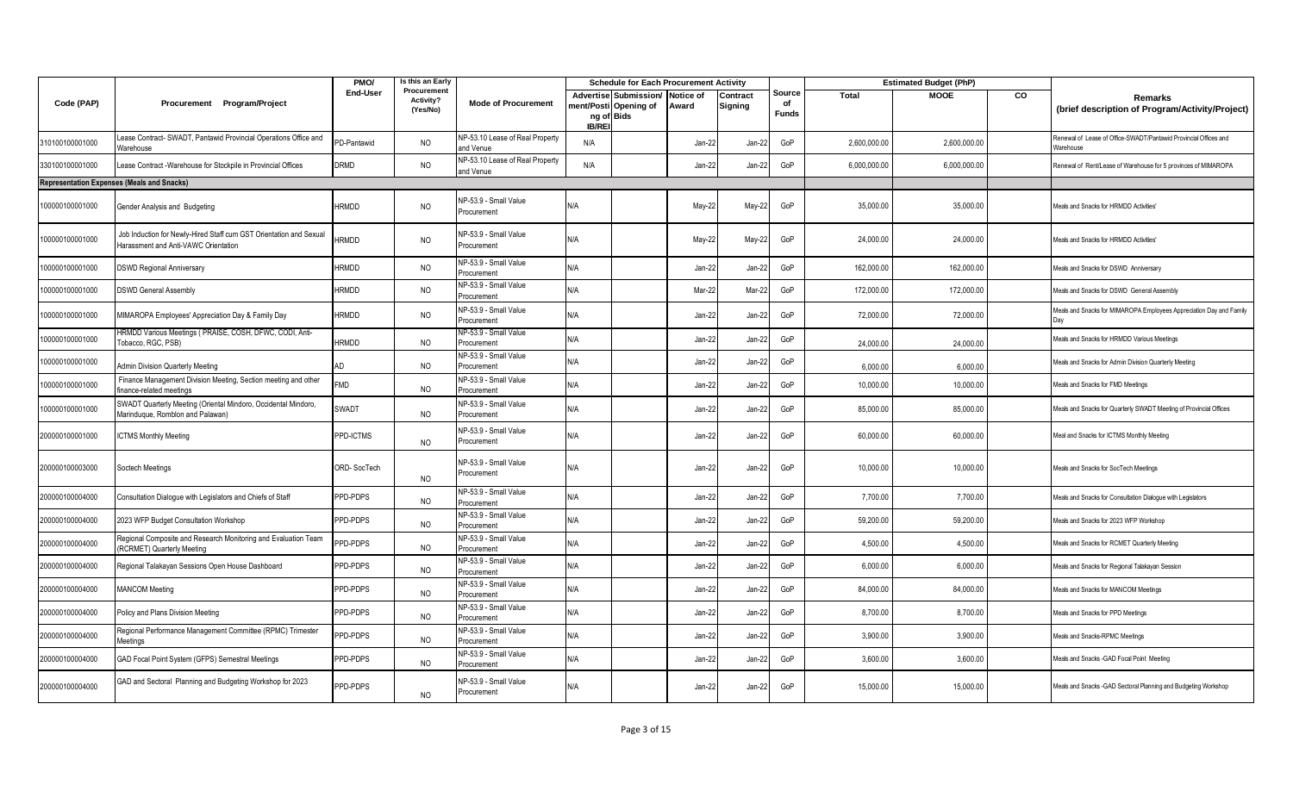|                 |                                                                                                            | PMO/         | Is this an Early                     |                                              |              | <b>Schedule for Each Procurement Activity</b>                |                    |                     |                              |              | <b>Estimated Budget (PhP)</b> |    |                                                                               |
|-----------------|------------------------------------------------------------------------------------------------------------|--------------|--------------------------------------|----------------------------------------------|--------------|--------------------------------------------------------------|--------------------|---------------------|------------------------------|--------------|-------------------------------|----|-------------------------------------------------------------------------------|
| Code (PAP)      | Procurement Program/Project                                                                                | End-User     | Procurement<br>Activity?<br>(Yes/No) | <b>Mode of Procurement</b>                   | <b>IB/RE</b> | Advertise Submission/<br>nent/Posti Opening of<br>ng of Bids | Notice of<br>Award | Contract<br>Signing | Source<br>of<br><b>Funds</b> | Total        | <b>MOOE</b>                   | CO | Remarks<br>(brief description of Program/Activity/Project)                    |
| 310100100001000 | ease Contract- SWADT, Pantawid Provincial Operations Office and<br>Warehouse                               | PD-Pantawid  | <b>NO</b>                            | NP-53.10 Lease of Real Property<br>and Venue | N/A          |                                                              | Jan-22             | $Jan-22$            | GoP                          | 2,600,000.00 | 2,600,000.00                  |    | Renewal of Lease of Office-SWADT/Pantawid Provincial Offices and<br>Narehouse |
| 330100100001000 | ease Contract -Warehouse for Stockpile in Provincial Offices                                               | DRMD         | NO                                   | NP-53.10 Lease of Real Property<br>and Venue | N/A          |                                                              | Jan-22             | $Jan-22$            | GoP                          | 6,000,000.00 | 6,000,000.00                  |    | Renewal of Rent/Lease of Warehouse for 5 provinces of MIMAROPA                |
|                 | <b>Representation Expenses (Meals and Snacks)</b>                                                          |              |                                      |                                              |              |                                                              |                    |                     |                              |              |                               |    |                                                                               |
| 100000100001000 | Gender Analysis and Budgeting                                                                              | <b>HRMDD</b> | <b>NO</b>                            | NP-53.9 - Small Value<br>Procurement         | N/A          |                                                              | May-22             | May-22              | GoP                          | 35,000.00    | 35,000.00                     |    | Meals and Snacks for HRMDD Activities'                                        |
| 100000100001000 | Job Induction for Newly-Hired Staff cum GST Orientation and Sexual<br>Harassment and Anti-VAWC Orientation | RMDD         | <b>NO</b>                            | NP-53.9 - Small Value<br>Procurement         | N/A          |                                                              | May-22             | May-22              | GoP                          | 24,000.00    | 24,000.00                     |    | Meals and Snacks for HRMDD Activities'                                        |
| 100000100001000 | <b>DSWD Regional Anniversary</b>                                                                           | <b>HRMDD</b> | <b>NO</b>                            | NP-53.9 - Small Value<br>Procurement         | N/A          |                                                              | Jan-22             | Jan-22              | GoP                          | 162,000.00   | 162,000.00                    |    | Meals and Snacks for DSWD Anniversary                                         |
| 100000100001000 | <b>DSWD General Assembly</b>                                                                               | <b>HRMDD</b> | <b>NO</b>                            | NP-53.9 - Small Value<br>Procurement         | N/A          |                                                              | Mar-22             | Mar-22              | GoP                          | 172,000.00   | 172,000.00                    |    | Meals and Snacks for DSWD General Assembly                                    |
| 100000100001000 | MIMAROPA Employees' Appreciation Day & Family Day                                                          | <b>HRMDD</b> | <b>NO</b>                            | NP-53.9 - Small Value<br>Procurement         | N/A          |                                                              | Jan-22             | Jan-22              | GoP                          | 72,000.00    | 72,000.00                     |    | Meals and Snacks for MIMAROPA Employees Appreciation Day and Family           |
| 100000100001000 | HRMDD Various Meetings (PRAISE, COSH, DFWC, CODI, Anti-<br>Tobacco, RGC, PSB)                              | <b>HRMDD</b> | <b>NO</b>                            | NP-53.9 - Small Value<br>Procurement         | N/A          |                                                              | Jan-22             | Jan-22              | GoP                          | 24,000.0     | 24,000.00                     |    | Meals and Snacks for HRMDD Various Meetings                                   |
| 100000100001000 | Admin Division Quarterly Meeting                                                                           | AD           | <b>NO</b>                            | NP-53.9 - Small Value<br>Procurement         | N/A          |                                                              | Jan-22             | Jan-22              | GoP                          | 6,000.00     | 6,000.00                      |    | Meals and Snacks for Admin Division Quarterly Meeting                         |
| 100000100001000 | Finance Management Division Meeting, Section meeting and other<br>inance-related meetings                  | <b>FMD</b>   | <b>NO</b>                            | NP-53.9 - Small Value<br>Procurement         | N/A          |                                                              | Jan-22             | Jan-22              | GoP                          | 10,000.00    | 10,000.00                     |    | Meals and Snacks for FMD Meetings                                             |
| 100000100001000 | SWADT Quarterly Meeting (Oriental Mindoro, Occidental Mindoro,<br>Marinduque, Romblon and Palawan)         | SWADT        | NO                                   | NP-53.9 - Small Value<br>Procurement         | N/A          |                                                              | Jan-22             | Jan-22              | GoP                          | 85,000.00    | 85,000.00                     |    | Meals and Snacks for Quarterly SWADT Meeting of Provincial Offices            |
| 200000100001000 | <b>ICTMS Monthly Meeting</b>                                                                               | PPD-ICTMS    | <b>NO</b>                            | NP-53.9 - Small Value<br>Procurement         | N/A          |                                                              | Jan-22             | $Jan-22$            | GoP                          | 60,000.00    | 60,000.00                     |    | Meal and Snacks for ICTMS Monthly Meeting                                     |
| 200000100003000 | Soctech Meetings                                                                                           | ORD-SocTech  | N <sub>O</sub>                       | NP-53.9 - Small Value<br>Procurement         | N/A          |                                                              | Jan-22             | Jan-22              | GoP                          | 10,000.00    | 10,000.00                     |    | Meals and Snacks for SocTech Meetings                                         |
| 200000100004000 | Consultation Dialogue with Legislators and Chiefs of Staff                                                 | PPD-PDPS     | NO                                   | NP-53.9 - Small Value<br>Procurement         | N/A          |                                                              | Jan-22             | Jan-22              | GoP                          | 7,700.00     | 7,700.00                      |    | Meals and Snacks for Consultation Dialogue with Legislators                   |
| 200000100004000 | 2023 WFP Budget Consultation Workshop                                                                      | PPD-PDPS     | <b>NO</b>                            | NP-53.9 - Small Value<br>Procurement         | N/A          |                                                              | Jan-22             | Jan-22              | GoP                          | 59,200.00    | 59,200.00                     |    | Meals and Snacks for 2023 WFP Workshop                                        |
| 200000100004000 | Regional Composite and Research Monitoring and Evaluation Team<br>(RCRMET) Quarterly Meeting               | PPD-PDPS     | <b>NO</b>                            | NP-53.9 - Small Value<br>Procurement         | N/A          |                                                              | Jan-22             | Jan-22              | GoP                          | 4,500.00     | 4,500.00                      |    | Meals and Snacks for RCMET Quarterly Meeting                                  |
| 200000100004000 | Regional Talakayan Sessions Open House Dashboard                                                           | PPD-PDPS     | <b>NO</b>                            | NP-53.9 - Small Value<br>Procurement         | N/A          |                                                              | Jan-22             | Jan-22              | GoP                          | 6,000.00     | 6,000.00                      |    | Meals and Snacks for Regional Talakayan Session                               |
| 200000100004000 | <b>MANCOM Meeting</b>                                                                                      | PPD-PDPS     | <b>NO</b>                            | NP-53.9 - Small Value<br>Procurement         | N/A          |                                                              | Jan-22             | Jan-22              | GoP                          | 84,000.00    | 84,000.00                     |    | Meals and Snacks for MANCOM Meetings                                          |
| 200000100004000 | Policy and Plans Division Meeting                                                                          | PPD-PDPS     | <b>NO</b>                            | NP-53.9 - Small Value<br>Procurement         | N/A          |                                                              | Jan-22             | $Jan-22$            | GoP                          | 8,700.00     | 8,700.00                      |    | Meals and Snacks for PPD Meetings                                             |
| 200000100004000 | Regional Performance Management Committee (RPMC) Trimester<br>Meetings                                     | PPD-PDPS     | <b>NO</b>                            | NP-53.9 - Small Value<br>Procurement         | N/A          |                                                              | Jan-22             | Jan-22              | GoP                          | 3,900.00     | 3,900.00                      |    | Meals and Snacks-RPMC Meetings                                                |
| 200000100004000 | GAD Focal Point System (GFPS) Semestral Meetings                                                           | PPD-PDPS     | NO                                   | NP-53.9 - Small Value<br>Procurement         | N/A          |                                                              | Jan-22             | Jan-22              | GoP                          | 3,600.00     | 3,600.00                      |    | Meals and Snacks - GAD Focal Point Meeting                                    |
| 200000100004000 | GAD and Sectoral Planning and Budgeting Workshop for 2023                                                  | PPD-PDPS     | NO                                   | NP-53.9 - Small Value<br>Procurement         | N/A          |                                                              | Jan-22             | $Jan-22$            | GoP                          | 15,000.00    | 15,000.00                     |    | Meals and Snacks - GAD Sectoral Planning and Budgeting Workshop               |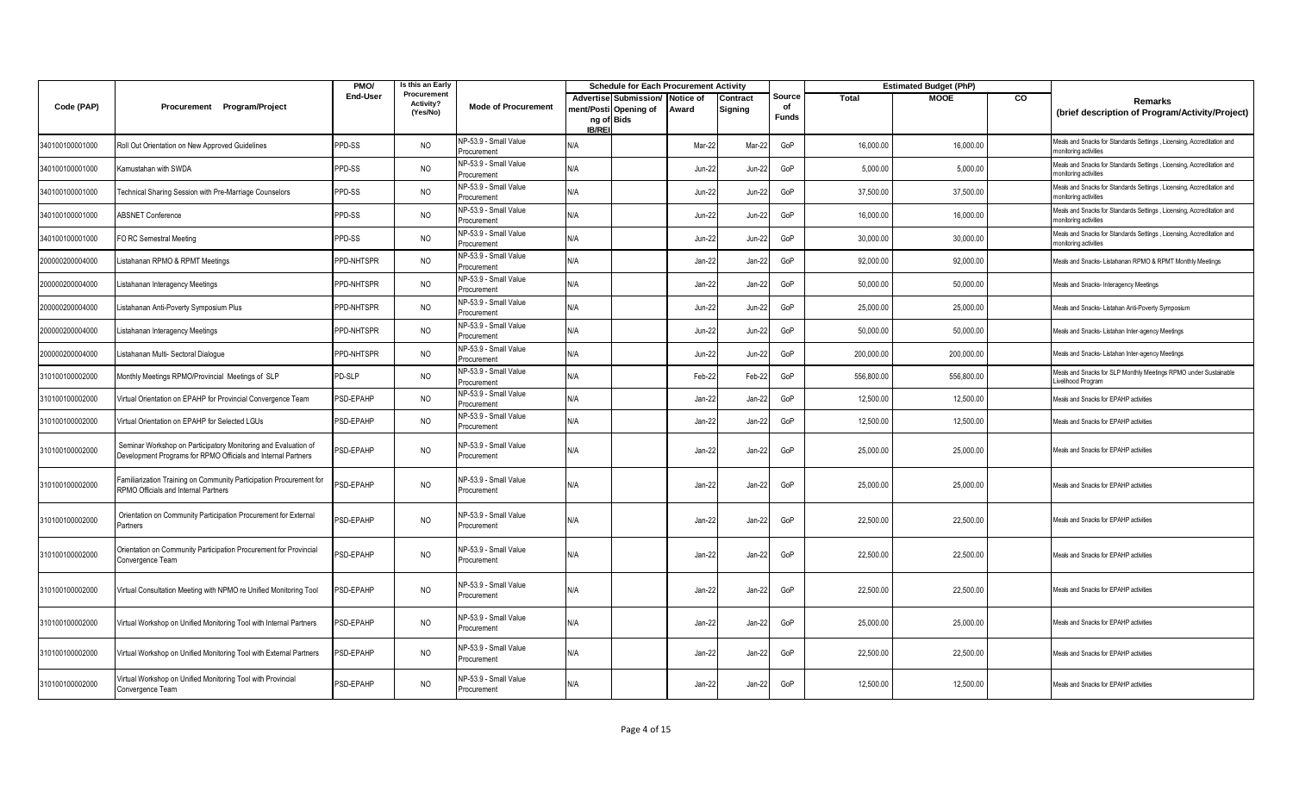|                 |                                                                                                                                 | PMO/             | Is this an Early                     |                                      |                            | <b>Schedule for Each Procurement Activity</b>  |                    |                     |                              |            | <b>Estimated Budget (PhP)</b> |    |                                                                                                |
|-----------------|---------------------------------------------------------------------------------------------------------------------------------|------------------|--------------------------------------|--------------------------------------|----------------------------|------------------------------------------------|--------------------|---------------------|------------------------------|------------|-------------------------------|----|------------------------------------------------------------------------------------------------|
| Code (PAP)      | Procurement Program/Project                                                                                                     | End-User         | Procurement<br>Activity?<br>(Yes/No) | <b>Mode of Procurement</b>           | ng of Bids<br><b>IB/RE</b> | Advertise Submission/<br>nent/Posti Opening of | Notice of<br>Award | Contract<br>Signing | Source<br>of<br><b>Funds</b> | Total      | <b>MOOE</b>                   | CO | Remarks<br>(brief description of Program/Activity/Project)                                     |
| 340100100001000 | Roll Out Orientation on New Approved Guidelines                                                                                 | PPD-SS           | <b>NO</b>                            | NP-53.9 - Small Value<br>Procurement | N/A                        |                                                | Mar-2:             | Mar-22              | GoP                          | 16,000.00  | 16,000.00                     |    | Meals and Snacks for Standards Settings, Licensing, Accreditation and<br>monitoring activities |
| 340100100001000 | Kamustahan with SWDA                                                                                                            | PPD-SS           | <b>NO</b>                            | NP-53.9 - Small Value<br>Procurement | N/A                        |                                                | Jun-22             | Jun-22              | GoP                          | 5,000.00   | 5,000.00                      |    | Meals and Snacks for Standards Settings, Licensing, Accreditation and<br>monitoring activities |
| 340100100001000 | <b>Technical Sharing Session with Pre-Marriage Counselors</b>                                                                   | PPD-SS           | <b>NO</b>                            | NP-53.9 - Small Value<br>Procurement | N/A                        |                                                | Jun-2:             | <b>Jun-22</b>       | GoP                          | 37,500.00  | 37,500.00                     |    | Meals and Snacks for Standards Settings, Licensing, Accreditation and<br>monitoring activities |
| 340100100001000 | <b>ABSNET Conference</b>                                                                                                        | PPD-SS           | NO                                   | NP-53.9 - Small Value<br>Procurement | ۷A/                        |                                                | Jun-2:             | Jun-22              | GoP                          | 16,000.00  | 16,000.00                     |    | Meals and Snacks for Standards Settings, Licensing, Accreditation and<br>nonitoring activities |
| 340100100001000 | FO RC Semestral Meeting                                                                                                         | PPD-SS           | <b>NO</b>                            | NP-53.9 - Small Value<br>rocurement  | N/A                        |                                                | $Jun-22$           | <b>Jun-22</b>       | GoP                          | 30,000.00  | 30,000.00                     |    | Meals and Snacks for Standards Settings, Licensing, Accreditation and<br>nonitoring activities |
| 200000200004000 | istahanan RPMO & RPMT Meetings                                                                                                  | PPD-NHTSPR       | NO                                   | NP-53.9 - Small Value<br>Procurement | N/A                        |                                                | Jan-22             | $Jan-22$            | GoP                          | 92,000.00  | 92,000.00                     |    | Meals and Snacks- Listahanan RPMO & RPMT Monthly Meetings                                      |
| 200000200004000 | istahanan Interagency Meetings.                                                                                                 | PPD-NHTSPR       | <b>NO</b>                            | NP-53.9 - Small Value<br>Procurement | N/A                        |                                                | $Jan-22$           | Jan-22              | GoP                          | 50,000.00  | 50,000.00                     |    | <b>Meals and Snacks- Interagency Meetings</b>                                                  |
| 200000200004000 | istahanan Anti-Poverty Symposium Plus                                                                                           | PPD-NHTSPR       | <b>NO</b>                            | NP-53.9 - Small Value<br>Procurement | A\V                        |                                                | $Jun-22$           | <b>Jun-22</b>       | GoP                          | 25,000.00  | 25,000.00                     |    | Meals and Snacks- Listahan Anti-Poverty Symposium                                              |
| 200000200004000 | istahanan Interagency Meetings                                                                                                  | PPD-NHTSPR       | <b>NO</b>                            | NP-53.9 - Small Value<br>Procurement | <b>AV</b>                  |                                                | Jun-2:             | Jun-22              | GoP                          | 50,000.00  | 50,000.00                     |    | Meals and Snacks- Listahan Inter-agency Meetings                                               |
| 200000200004000 | istahanan Multi- Sectoral Dialoque                                                                                              | PPD-NHTSPR       | <b>NO</b>                            | NP-53.9 - Small Value<br>Procurement | N/A                        |                                                | $Jun-22$           | <b>Jun-22</b>       | GoP                          | 200,000.00 | 200,000.00                    |    | Meals and Snacks- Listahan Inter-agency Meetings                                               |
| 310100100002000 | Monthly Meetings RPMO/Provincial Meetings of SLP                                                                                | PD-SLP           | <b>NO</b>                            | NP-53.9 - Small Value<br>Procurement | N/A                        |                                                | Feb-2              | Feb-22              | GoP                          | 556,800.00 | 556,800.00                    |    | Meals and Snacks for SLP Monthly Meetings RPMO under Sustainable<br>ivelihood Program          |
| 310100100002000 | Virtual Orientation on EPAHP for Provincial Convergence Team                                                                    | PSD-EPAHP        | <b>NO</b>                            | NP-53.9 - Small Value<br>Procurement | <b>AV</b>                  |                                                | Jan-22             | Jan-22              | GoP                          | 12,500.00  | 12,500.00                     |    | Meals and Snacks for EPAHP activities                                                          |
| 310100100002000 | Virtual Orientation on EPAHP for Selected LGUs                                                                                  | PSD-EPAHP        | <b>NO</b>                            | NP-53.9 - Small Value<br>Procurement | N/A                        |                                                | $Jan-22$           | Jan-22              | GoP                          | 12.500.00  | 12.500.00                     |    | Meals and Snacks for EPAHP activities                                                          |
| 310100100002000 | Seminar Workshop on Participatory Monitoring and Evaluation of<br>Development Programs for RPMO Officials and Internal Partners | PSD-EPAHP        | <b>NO</b>                            | NP-53.9 - Small Value<br>Procurement | N/A                        |                                                | Jan-22             | Jan-22              | GoP                          | 25,000.00  | 25,000.00                     |    | Meals and Snacks for EPAHP activities                                                          |
| 310100100002000 | Familiarization Training on Community Participation Procurement for<br>RPMO Officials and Internal Partners                     | <b>PSD-EPAHP</b> | <b>NO</b>                            | NP-53.9 - Small Value<br>Procurement | N/A                        |                                                | Jan-22             | Jan-22              | GoP                          | 25,000.00  | 25,000.00                     |    | Meals and Snacks for EPAHP activities                                                          |
| 310100100002000 | Orientation on Community Participation Procurement for External<br>Partners                                                     | PSD-EPAHP        | <b>NO</b>                            | NP-53.9 - Small Value<br>Procurement | N/A                        |                                                | Jan-2:             | Jan-22              | GoP                          | 22,500.00  | 22,500.00                     |    | Meals and Snacks for EPAHP activities                                                          |
| 310100100002000 | Orientation on Community Participation Procurement for Provincial<br>Convergence Team                                           | <b>SD-EPAHP</b>  | <b>NO</b>                            | NP-53.9 - Small Value<br>Procurement | <b>AV</b>                  |                                                | Jan-2:             | Jan-22              | GoP                          | 22,500.00  | 22,500.00                     |    | Meals and Snacks for EPAHP activities                                                          |
| 310100100002000 | Virtual Consultation Meeting with NPMO re Unified Monitoring Tool                                                               | <b>SD-EPAHP</b>  | <b>NO</b>                            | NP-53.9 - Small Value<br>Procurement | N/A                        |                                                | Jan-22             | Jan-22              | GoP                          | 22,500.00  | 22,500.00                     |    | Meals and Snacks for EPAHP activities                                                          |
| 310100100002000 | Virtual Workshop on Unified Monitoring Tool with Internal Partners                                                              | PSD-EPAHP        | <b>NO</b>                            | NP-53.9 - Small Value<br>Procurement | N/A                        |                                                | Jan-22             | Jan-22              | GoP                          | 25,000.00  | 25,000.00                     |    | Meals and Snacks for EPAHP activities                                                          |
| 310100100002000 | Virtual Workshop on Unified Monitoring Tool with External Partners                                                              | <b>SD-EPAHP</b>  | <b>NO</b>                            | NP-53.9 - Small Value<br>Procurement | N/A                        |                                                | $Jan-22$           | Jan-22              | GoP                          | 22,500.00  | 22,500.00                     |    | <b>Jeals and Snacks for EPAHP activities</b>                                                   |
| 310100100002000 | Virtual Workshop on Unified Monitoring Tool with Provincial<br>Convergence Team                                                 | PSD-EPAHP        | <b>NO</b>                            | NP-53.9 - Small Value<br>Procurement | N/A                        |                                                | Jan-22             | Jan-22              | GoP                          | 12,500.00  | 12,500.00                     |    | Meals and Snacks for EPAHP activities                                                          |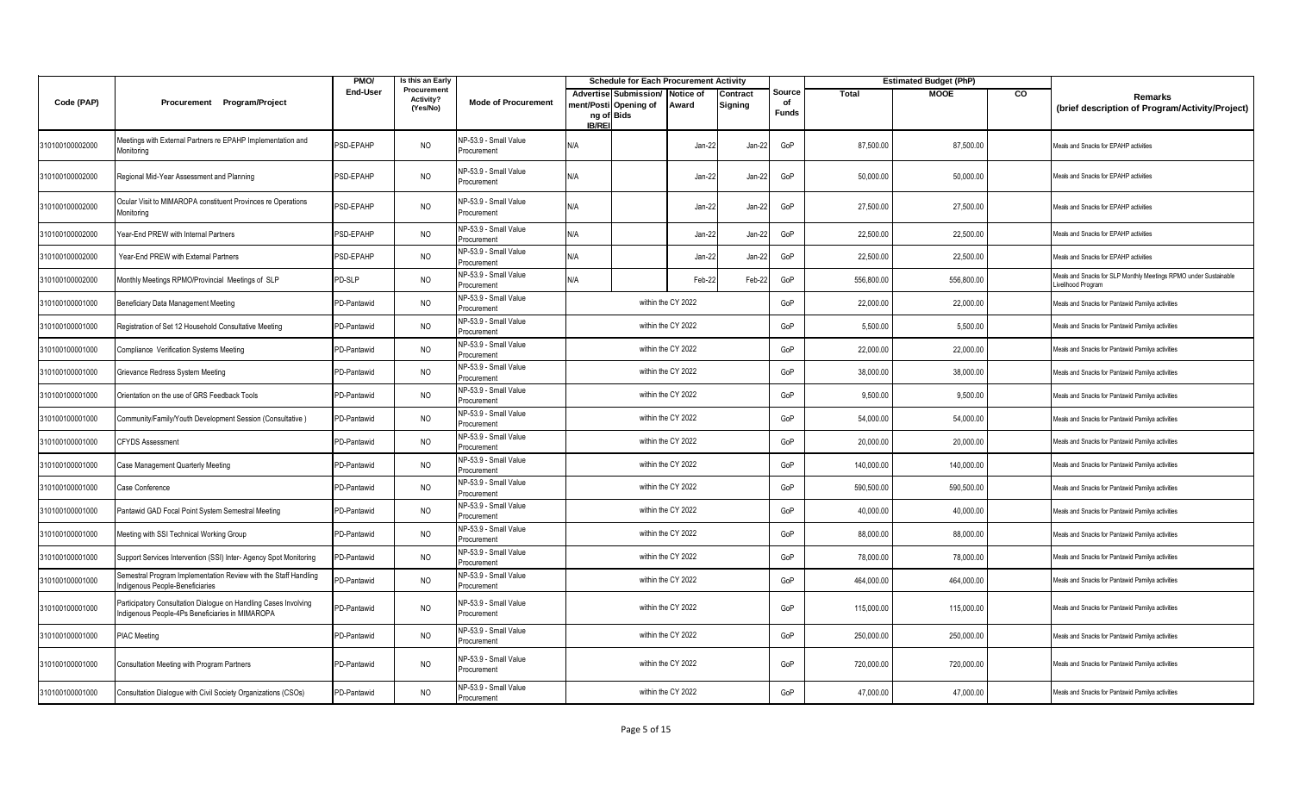|                 |                                                                                                                   | PMO/            | Is this an Early                     |                                      |                            | <b>Schedule for Each Procurement Activity</b>  |                    |                     |                              |              | <b>Estimated Budget (PhP)</b> |    |                                                                                       |
|-----------------|-------------------------------------------------------------------------------------------------------------------|-----------------|--------------------------------------|--------------------------------------|----------------------------|------------------------------------------------|--------------------|---------------------|------------------------------|--------------|-------------------------------|----|---------------------------------------------------------------------------------------|
| Code (PAP)      | Procurement Program/Project                                                                                       | <b>End-User</b> | Procurement<br>Activity?<br>(Yes/No) | <b>Mode of Procurement</b>           | ng of Bids<br><b>IB/RE</b> | Advertise Submission/<br>nent/Posti Opening of | Notice of<br>Award | Contract<br>Signing | Source<br>of<br><b>Funds</b> | <b>Total</b> | <b>MOOE</b>                   | CO | <b>Remarks</b><br>(brief description of Program/Activity/Project)                     |
| 310100100002000 | leetings with External Partners re EPAHP Implementation and<br>Monitorina                                         | PSD-EPAHP       | <b>NO</b>                            | NP-53.9 - Small Value<br>Procurement | N/A                        |                                                | Jan-2:             | Jan-22              | GoP                          | 87,500.00    | 87,500.00                     |    | Meals and Snacks for EPAHP activities                                                 |
| 310100100002000 | Regional Mid-Year Assessment and Planning                                                                         | PSD-EPAHP       | <b>NO</b>                            | NP-53.9 - Small Value<br>Procurement | N/A                        |                                                | Jan-22             | Jan-22              | GoP                          | 50,000.00    | 50,000.00                     |    | Meals and Snacks for EPAHP activities                                                 |
| 310100100002000 | Ocular Visit to MIMAROPA constituent Provinces re Operations<br>Monitoring                                        | PSD-EPAHP       | <b>NO</b>                            | NP-53.9 - Small Value<br>Procurement | N/A                        |                                                | Jan-22             | Jan-22              | GoP                          | 27,500.00    | 27,500.00                     |    | Meals and Snacks for EPAHP activities                                                 |
| 310100100002000 | Year-End PREW with Internal Partners                                                                              | PSD-EPAHP       | <b>NO</b>                            | NP-53.9 - Small Value<br>Procurement | N/A                        |                                                | Jan-22             | Jan-22              | GoP                          | 22,500.00    | 22,500.00                     |    | Meals and Snacks for EPAHP activities                                                 |
| 310100100002000 | Year-End PREW with External Partners                                                                              | PSD-EPAHP       | <b>NO</b>                            | NP-53.9 - Small Value<br>Procurement | <b>AV</b>                  |                                                | Jan-22             | Jan-22              | GoP                          | 22,500.00    | 22,500.00                     |    | Meals and Snacks for EPAHP activities                                                 |
| 310100100002000 | Monthly Meetings RPMO/Provincial Meetings of SLP                                                                  | PD-SLP          | <b>NO</b>                            | NP-53.9 - Small Value<br>Procurement | N/A                        |                                                | Feb-2              | Feb-22              | GoP                          | 556,800.00   | 556,800.00                    |    | Meals and Snacks for SLP Monthly Meetings RPMO under Sustainable<br>ivelihood Program |
| 310100100001000 | Beneficiary Data Management Meeting                                                                               | PD-Pantawid     | <b>NO</b>                            | NP-53.9 - Small Value<br>Procurement |                            |                                                | within the CY 2022 |                     | GoP                          | 22,000.00    | 22,000.00                     |    | Meals and Snacks for Pantawid Pamilya activities                                      |
| 310100100001000 | Registration of Set 12 Household Consultative Meeting                                                             | PD-Pantawid     | <b>NO</b>                            | NP-53.9 - Small Value<br>Procurement |                            |                                                | within the CY 2022 |                     | GoP                          | 5,500.00     | 5,500.00                      |    | Meals and Snacks for Pantawid Pamilya activities                                      |
| 310100100001000 | Compliance Verification Systems Meeting                                                                           | PD-Pantawid     | <b>NO</b>                            | NP-53.9 - Small Value<br>Procurement |                            |                                                | within the CY 2022 |                     | GoP                          | 22,000.00    | 22,000.00                     |    | Meals and Snacks for Pantawid Pamilya activities                                      |
| 310100100001000 | Grievance Redress System Meeting                                                                                  | PD-Pantawid     | <b>NO</b>                            | NP-53.9 - Small Value<br>Procurement | within the CY 2022         |                                                |                    |                     | GoP                          | 38,000.00    | 38,000.00                     |    | Meals and Snacks for Pantawid Pamilya activities                                      |
| 310100100001000 | Orientation on the use of GRS Feedback Tools                                                                      | PD-Pantawid     | <b>NO</b>                            | NP-53.9 - Small Value<br>Procurement |                            |                                                | within the CY 2022 |                     | GoP                          | 9,500.00     | 9,500.00                      |    | Meals and Snacks for Pantawid Pamilya activities                                      |
| 310100100001000 | Community/Family/Youth Development Session (Consultative)                                                         | PD-Pantawid     | <b>NO</b>                            | NP-53.9 - Small Value<br>Procurement |                            |                                                | within the CY 2022 |                     | GoP                          | 54,000.00    | 54,000.00                     |    | Meals and Snacks for Pantawid Pamilya activities                                      |
| 310100100001000 | <b>CFYDS Assessment</b>                                                                                           | PD-Pantawid     | <b>NO</b>                            | NP-53.9 - Small Value<br>Procurement |                            |                                                | within the CY 2022 |                     | GoP                          | 20,000.00    | 20,000.00                     |    | Meals and Snacks for Pantawid Pamilya activities                                      |
| 310100100001000 | Case Management Quarterly Meeting                                                                                 | PD-Pantawid     | <b>NO</b>                            | NP-53.9 - Small Value<br>Procurement |                            |                                                | within the CY 2022 |                     | GoP                          | 140,000.00   | 140,000.00                    |    | Meals and Snacks for Pantawid Pamilya activities                                      |
| 310100100001000 | Case Conference                                                                                                   | PD-Pantawid     | <b>NO</b>                            | NP-53.9 - Small Value<br>Procurement |                            |                                                | within the CY 2022 |                     | GoP                          | 590,500.00   | 590,500.00                    |    | Meals and Snacks for Pantawid Pamilya activities                                      |
| 310100100001000 | Pantawid GAD Focal Point System Semestral Meeting                                                                 | PD-Pantawid     | <b>NO</b>                            | NP-53.9 - Small Value<br>Procurement |                            |                                                | within the CY 2022 |                     | GoP                          | 40.000.00    | 40,000.00                     |    | Meals and Snacks for Pantawid Pamilya activities                                      |
| 310100100001000 | Meeting with SSI Technical Working Group                                                                          | PD-Pantawid     | <b>NO</b>                            | NP-53.9 - Small Value<br>Procurement |                            |                                                | within the CY 2022 |                     | GoP                          | 88,000.00    | 88,000.00                     |    | Meals and Snacks for Pantawid Pamilya activities                                      |
| 310100100001000 | Support Services Intervention (SSI) Inter- Agency Spot Monitoring                                                 | PD-Pantawid     | <b>NO</b>                            | NP-53.9 - Small Value<br>Procurement |                            |                                                | within the CY 2022 |                     | GoP                          | 78,000.00    | 78,000.00                     |    | Meals and Snacks for Pantawid Pamilya activities                                      |
| 310100100001000 | Semestral Program Implementation Review with the Staff Handling<br>Indigenous People-Beneficiaries                | PD-Pantawid     | <b>NO</b>                            | NP-53.9 - Small Value<br>Procurement |                            |                                                | within the CY 2022 |                     | GoP                          | 464.000.00   | 464,000.00                    |    | Meals and Snacks for Pantawid Pamilya activities                                      |
| 310100100001000 | Participatory Consultation Dialogue on Handling Cases Involving<br>ndigenous People-4Ps Beneficiaries in MIMAROPA | PD-Pantawid     | <b>NO</b>                            | NP-53.9 - Small Value<br>Procurement |                            |                                                | within the CY 2022 |                     | GoP                          | 115,000.00   | 115,000.00                    |    | Meals and Snacks for Pantawid Pamilya activities                                      |
| 310100100001000 | <b>PIAC Meeting</b>                                                                                               | PD-Pantawid     | <b>NO</b>                            | NP-53.9 - Small Value<br>Procurement |                            |                                                | within the CY 2022 |                     | GoP                          | 250,000.00   | 250,000.00                    |    | Meals and Snacks for Pantawid Pamilya activities                                      |
| 310100100001000 | Consultation Meeting with Program Partners                                                                        | PD-Pantawid     | <b>NO</b>                            | NP-53.9 - Small Value<br>Procurement |                            |                                                | within the CY 2022 |                     | GoP                          | 720,000.00   | 720,000.00                    |    | Meals and Snacks for Pantawid Pamilya activities                                      |
| 310100100001000 | Consultation Dialogue with Civil Society Organizations (CSOs)                                                     | PD-Pantawid     | <b>NO</b>                            | NP-53.9 - Small Value<br>Procurement |                            |                                                | within the CY 2022 |                     | GoP                          | 47,000.00    | 47,000.00                     |    | Meals and Snacks for Pantawid Pamilya activities                                      |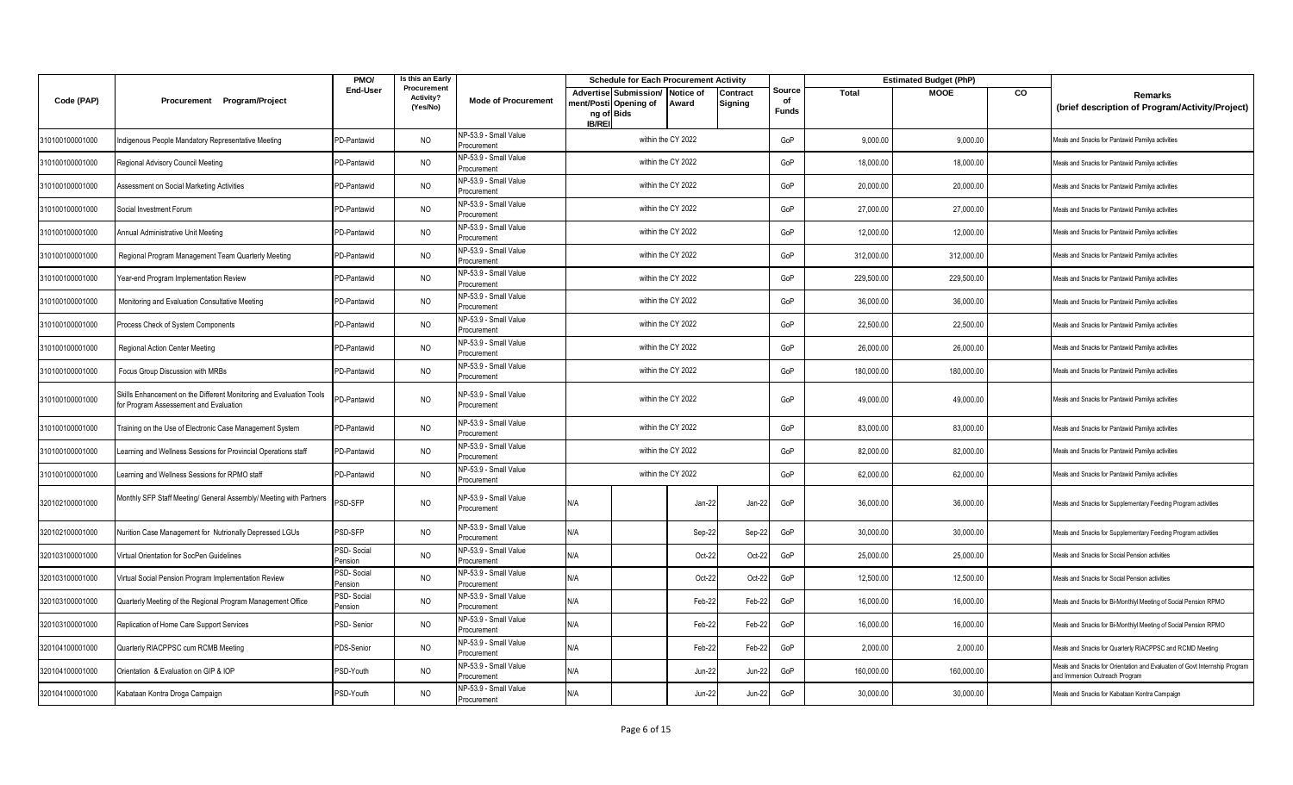|                 |                                                                                                               | PMO/                  | Is this an Early                            |                                      | <b>Schedule for Each Procurement Activity</b>                                 |                    |                    |                     |                              | <b>Estimated Budget (PhP)</b> |             |    |                                                                                                              |
|-----------------|---------------------------------------------------------------------------------------------------------------|-----------------------|---------------------------------------------|--------------------------------------|-------------------------------------------------------------------------------|--------------------|--------------------|---------------------|------------------------------|-------------------------------|-------------|----|--------------------------------------------------------------------------------------------------------------|
| Code (PAP)      | Procurement Program/Project                                                                                   | End-User              | Procurement<br><b>Activity?</b><br>(Yes/No) | <b>Mode of Procurement</b>           | Advertise Submission/<br>ment/Posti Opening of<br>ng of Bids<br><b>IB/REI</b> |                    | Notice of<br>Award | Contract<br>Signing | Source<br>of<br><b>Funds</b> | Total                         | <b>MOOE</b> | CO | Remarks<br>(brief description of Program/Activity/Project)                                                   |
| 310100100001000 | Indigenous People Mandatory Representative Meeting                                                            | PD-Pantawid           | <b>NO</b>                                   | NP-53.9 - Small Value<br>Procurement |                                                                               |                    | within the CY 2022 |                     | GoP                          | 9,000.00                      | 9,000.00    |    | Meals and Snacks for Pantawid Pamilya activities                                                             |
| 310100100001000 | Regional Advisory Council Meeting                                                                             | PD-Pantawid           | <b>NO</b>                                   | NP-53.9 - Small Value<br>Procurement |                                                                               | within the CY 2022 |                    |                     | GoP                          | 18,000.00                     | 18,000.00   |    | Meals and Snacks for Pantawid Pamilya activities                                                             |
| 310100100001000 | Assessment on Social Marketing Activities                                                                     | PD-Pantawid           | <b>NO</b>                                   | NP-53.9 - Small Value<br>Procurement |                                                                               |                    | within the CY 2022 |                     | GoP                          | 20,000.00                     | 20,000.00   |    | Meals and Snacks for Pantawid Pamilya activities                                                             |
| 310100100001000 | Social Investment Forum                                                                                       | PD-Pantawid           | <b>NO</b>                                   | NP-53.9 - Small Value<br>Procurement |                                                                               |                    | within the CY 2022 |                     | GoP                          | 27,000.00                     | 27,000.00   |    | Meals and Snacks for Pantawid Pamilya activities                                                             |
| 310100100001000 | Annual Administrative Unit Meeting                                                                            | PD-Pantawid           | <b>NO</b>                                   | NP-53.9 - Small Value<br>Procurement |                                                                               |                    | within the CY 2022 |                     | GoP                          | 12,000.00                     | 12,000.00   |    | Meals and Snacks for Pantawid Pamilya activities                                                             |
| 310100100001000 | Regional Program Management Team Quarterly Meeting                                                            | PD-Pantawid           | <b>NO</b>                                   | NP-53.9 - Small Value<br>Procurement |                                                                               | within the CY 2022 |                    |                     | GoP                          | 312,000.00                    | 312,000.00  |    | Meals and Snacks for Pantawid Pamilya activities                                                             |
| 310100100001000 | Year-end Program Implementation Review                                                                        | PD-Pantawid           | <b>NO</b>                                   | NP-53.9 - Small Value<br>Procurement |                                                                               |                    | within the CY 2022 |                     | GoP                          | 229,500.00                    | 229,500.00  |    | Meals and Snacks for Pantawid Pamilya activities                                                             |
| 310100100001000 | Monitoring and Evaluation Consultative Meeting                                                                | PD-Pantawid           | <b>NO</b>                                   | NP-53.9 - Small Value<br>Procurement |                                                                               | within the CY 2022 |                    |                     | GoP                          | 36,000.00                     | 36,000.00   |    | Meals and Snacks for Pantawid Pamilya activities                                                             |
| 310100100001000 | Process Check of System Components                                                                            | PD-Pantawid           | <b>NO</b>                                   | NP-53.9 - Small Value<br>Procurement |                                                                               | within the CY 2022 |                    |                     | GoP                          | 22,500.00                     | 22,500.00   |    | Meals and Snacks for Pantawid Pamilya activities                                                             |
| 310100100001000 | Regional Action Center Meeting                                                                                | PD-Pantawid           | <b>NO</b>                                   | NP-53.9 - Small Value<br>Procurement |                                                                               |                    | within the CY 2022 |                     | GoP                          | 26,000.00                     | 26,000.00   |    | Meals and Snacks for Pantawid Pamilya activities                                                             |
| 310100100001000 | Focus Group Discussion with MRBs                                                                              | PD-Pantawid           | <b>NO</b>                                   | NP-53.9 - Small Value<br>Procurement |                                                                               |                    | within the CY 2022 |                     | GoP                          | 180,000.00                    | 180,000.00  |    | Meals and Snacks for Pantawid Pamilya activities                                                             |
| 310100100001000 | Skills Enhancement on the Different Monitoring and Evaluation Tools<br>for Program Assessement and Evaluation | PD-Pantawid           | <b>NO</b>                                   | NP-53.9 - Small Value<br>Procurement |                                                                               | within the CY 2022 |                    |                     | GoP                          | 49,000.00                     | 49,000.00   |    | Meals and Snacks for Pantawid Pamilya activities                                                             |
| 310100100001000 | Training on the Use of Electronic Case Management System                                                      | PD-Pantawid           | <b>NO</b>                                   | NP-53.9 - Small Value<br>rocurement  |                                                                               | within the CY 2022 |                    |                     | GoP                          | 83,000.00                     | 83,000.00   |    | Meals and Snacks for Pantawid Pamilya activities                                                             |
| 310100100001000 | earning and Wellness Sessions for Provincial Operations staff                                                 | PD-Pantawid           | <b>NO</b>                                   | NP-53.9 - Small Value<br>Procurement |                                                                               |                    | within the CY 2022 |                     | GoP                          | 82,000.00                     | 82,000.00   |    | Meals and Snacks for Pantawid Pamilya activities                                                             |
| 310100100001000 | Learning and Wellness Sessions for RPMO staff                                                                 | PD-Pantawid           | <b>NO</b>                                   | VP-53.9 - Small Value<br>Procurement |                                                                               |                    | within the CY 2022 |                     | GoP                          | 62,000.00                     | 62,000.00   |    | Meals and Snacks for Pantawid Pamilya activities                                                             |
| 320102100001000 | Monthly SFP Staff Meeting/ General Assembly/ Meeting with Partners                                            | <b>PSD-SFP</b>        | <b>NO</b>                                   | NP-53.9 - Small Value<br>Procurement | N/A                                                                           |                    | Jan-22             | Jan-22              | GoP                          | 36,000.00                     | 36,000.00   |    | Meals and Snacks for Supplementary Feeding Program activities                                                |
| 320102100001000 | Nurition Case Management for Nutrionally Depressed LGUs                                                       | PSD-SFP               | <b>NO</b>                                   | NP-53.9 - Small Value<br>Procurement | N/A                                                                           |                    | Sep-22             | Sep-22              | GoP                          | 30,000.00                     | 30,000.00   |    | Meals and Snacks for Supplementary Feeding Program activities                                                |
| 320103100001000 | Virtual Orientation for SocPen Guidelines                                                                     | PSD-Social<br>Pension | <b>NO</b>                                   | NP-53.9 - Small Value<br>Procurement | N/A                                                                           |                    | Oct-22             | Oct-22              | GoP                          | 25,000.00                     | 25,000.00   |    | Meals and Snacks for Social Pension activities                                                               |
| 320103100001000 | Virtual Social Pension Program Implementation Review                                                          | PSD-Social<br>Pension | <b>NO</b>                                   | NP-53.9 - Small Value<br>Procurement | N/A                                                                           |                    | Oct-22             | Oct-22              | GoP                          | 12,500.00                     | 12,500.00   |    | Meals and Snacks for Social Pension activities                                                               |
| 320103100001000 | Quarterly Meeting of the Regional Program Management Office                                                   | PSD-Social<br>Pension | <b>NO</b>                                   | NP-53.9 - Small Value<br>Procurement | N/A                                                                           |                    | Feb-22             | Feb-22              | GoP                          | 16,000.00                     | 16,000.00   |    | Meals and Snacks for Bi-Monthlyl Meeting of Social Pension RPMO                                              |
| 320103100001000 | Replication of Home Care Support Services                                                                     | PSD-Senior            | <b>NO</b>                                   | NP-53.9 - Small Value<br>Procurement | N/A                                                                           |                    | Feb-22             | Feb-22              | GoP                          | 16,000.00                     | 16,000.00   |    | Meals and Snacks for Bi-Monthlyl Meeting of Social Pension RPMO                                              |
| 320104100001000 | Quarterly RIACPPSC cum RCMB Meeting                                                                           | PDS-Senior            | <b>NO</b>                                   | NP-53.9 - Small Value<br>Procurement | N/A                                                                           |                    | Feb-22             | Feb-22              | GoP                          | 2,000.00                      | 2,000.00    |    | Meals and Snacks for Quarterly RIACPPSC and RCMD Meeting                                                     |
| 320104100001000 | Orientation & Evaluation on GIP & IOP                                                                         | PSD-Youth             | <b>NO</b>                                   | NP-53.9 - Small Value<br>Procurement | N/A                                                                           |                    | <b>Jun-22</b>      | <b>Jun-22</b>       | GoP                          | 160,000.00                    | 160,000.00  |    | Meals and Snacks for Orientation and Evaluation of Govt Internship Program<br>and Immersion Outreach Program |
| 320104100001000 | Kabataan Kontra Droga Campaign                                                                                | PSD-Youth             | <b>NO</b>                                   | NP-53.9 - Small Value<br>Procurement | N/A                                                                           |                    | <b>Jun-22</b>      | <b>Jun-22</b>       | GoP                          | 30,000.00                     | 30,000.00   |    | Meals and Snacks for Kabataan Kontra Campaign                                                                |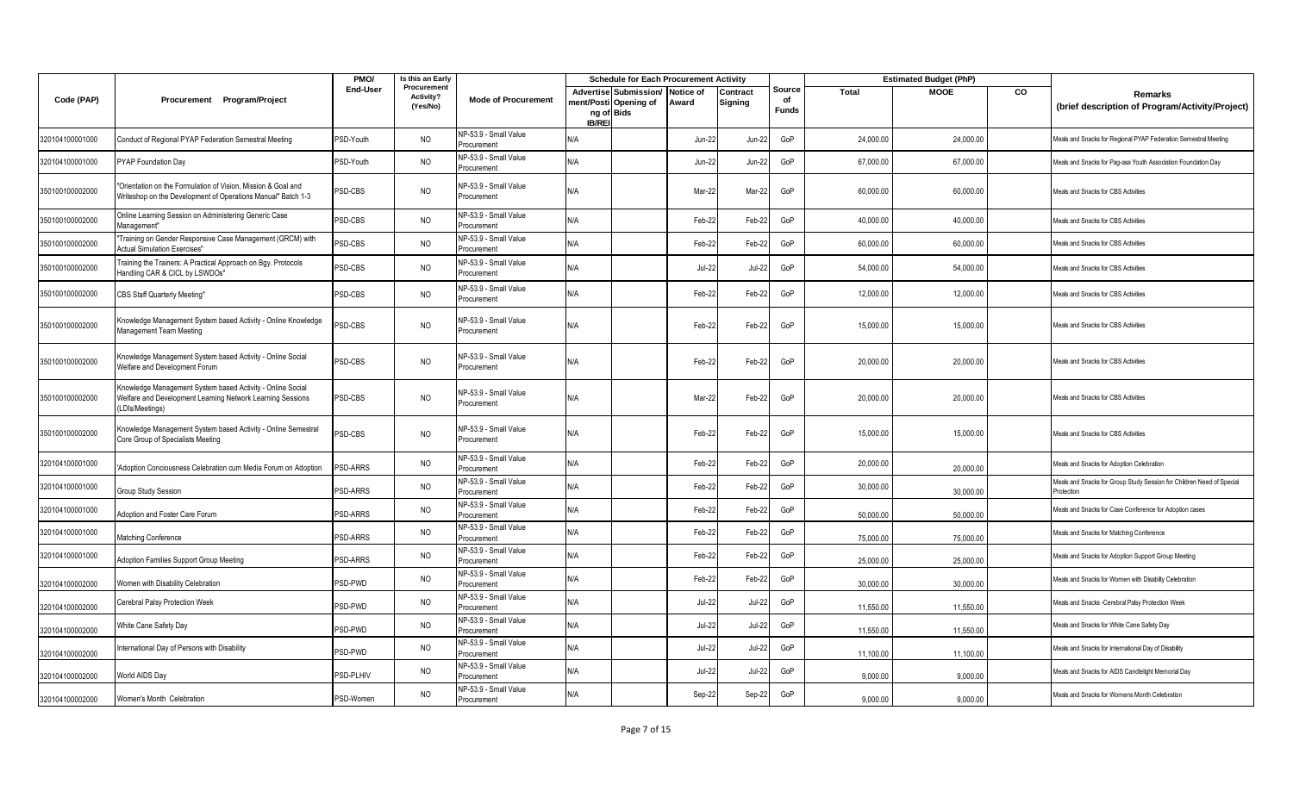|                 |                                                                                                                                                   | PMO/            | Is this an Early                     |                                      |                            | <b>Schedule for Each Procurement Activity</b>  |                           |                     |                              |              | <b>Estimated Budget (PhP)</b> |    |                                                                                     |
|-----------------|---------------------------------------------------------------------------------------------------------------------------------------------------|-----------------|--------------------------------------|--------------------------------------|----------------------------|------------------------------------------------|---------------------------|---------------------|------------------------------|--------------|-------------------------------|----|-------------------------------------------------------------------------------------|
| Code (PAP)      | Procurement Program/Project                                                                                                                       | <b>End-User</b> | Procurement<br>Activity?<br>(Yes/No) | <b>Mode of Procurement</b>           | ng of Bids<br><b>IB/RE</b> | Advertise Submission/<br>nent/Posti Opening of | <b>Notice of</b><br>Award | Contract<br>Signing | Source<br>of<br><b>Funds</b> | <b>Total</b> | <b>MOOE</b>                   | CO | <b>Remarks</b><br>(brief description of Program/Activity/Project)                   |
| 320104100001000 | Conduct of Regional PYAP Federation Semestral Meeting                                                                                             | PSD-Youth       | <b>NO</b>                            | NP-53.9 - Small Value<br>Procurement | N/A                        |                                                | $Jun-22$                  | <b>Jun-22</b>       | GoP                          | 24,000.00    | 24,000.00                     |    | Meals and Snacks for Regional PYAP Federation Semestral Meeting                     |
| 320104100001000 | PYAP Foundation Day                                                                                                                               | PSD-Youth       | <b>NO</b>                            | NP-53.9 - Small Value<br>Procurement | N/A                        |                                                | $Jun-22$                  | Jun-22              | GoP                          | 67,000.00    | 67,000.00                     |    | Meals and Snacks for Pag-asa Youth Association Foundation Day                       |
| 350100100002000 | 'Orientation on the Formulation of Vision, Mission & Goal and<br>Writeshop on the Development of Operations Manual" Batch 1-3                     | PSD-CBS         | <b>NO</b>                            | NP-53.9 - Small Value<br>Procurement | N/A                        |                                                | Mar-22                    | Mar-22              | GoP                          | 60,000.00    | 60,000.00                     |    | Meals and Snacks for CBS Activities                                                 |
| 350100100002000 | Online Learning Session on Administering Generic Case<br>Management"                                                                              | PSD-CBS         | <b>NO</b>                            | NP-53.9 - Small Value<br>Procurement | N/A                        |                                                | Feb-2                     | Feb-22              | GoP                          | 40,000.00    | 40,000.00                     |    | Meals and Snacks for CBS Activities                                                 |
| 350100100002000 | Training on Gender Responsive Case Management (GRCM) with<br><b>Actual Simulation Exercises"</b>                                                  | <b>PSD-CBS</b>  | <b>NO</b>                            | NP-53.9 - Small Value<br>Procurement | N/A                        |                                                | Feb-22                    | Feb-22              | GoP                          | 60,000.00    | 60,000.00                     |    | Meals and Snacks for CBS Activities                                                 |
| 350100100002000 | Training the Trainers: A Practical Approach on Bgy. Protocols<br>landling CAR & CICL by LSWDOs"                                                   | PSD-CBS         | <b>NO</b>                            | NP-53.9 - Small Value<br>Procurement | N/A                        |                                                | Jul-22                    | <b>Jul-22</b>       | GoP                          | 54,000.00    | 54,000.00                     |    | Meals and Snacks for CBS Activities                                                 |
| 350100100002000 | <b>CBS Staff Quarterly Meeting"</b>                                                                                                               | PSD-CBS         | <b>NO</b>                            | NP-53.9 - Small Value<br>Procurement | N/A                        |                                                | Feb-22                    | Feb-22              | GoP                          | 12.000.00    | 12,000.00                     |    | Meals and Snacks for CBS Activities                                                 |
| 350100100002000 | Knowledge Management System based Activity - Online Knowledge<br>Management Team Meeting                                                          | PSD-CBS         | <b>NO</b>                            | NP-53.9 - Small Value<br>Procurement | N/A                        |                                                | Feb-22                    | Feb-22              | GoP                          | 15,000.00    | 15,000.00                     |    | Meals and Snacks for CBS Activities                                                 |
| 350100100002000 | Knowledge Management System based Activity - Online Social<br>Welfare and Development Forum                                                       | PSD-CBS         | <b>NO</b>                            | NP-53.9 - Small Value<br>Procurement | N/A                        |                                                | Feb-22                    | Feb-22              | GoP                          | 20,000.00    | 20,000.00                     |    | Meals and Snacks for CBS Activities                                                 |
| 350100100002000 | Knowledge Management System based Activity - Online Social<br><b>Nelfare and Development Learning Network Learning Sessions</b><br>LDIs/Meetings) | PSD-CBS         | <b>NO</b>                            | NP-53.9 - Small Value<br>Procurement | N/A                        |                                                | Mar-22                    | Feb-22              | GoP                          | 20,000.00    | 20,000.00                     |    | Meals and Snacks for CBS Activities                                                 |
| 350100100002000 | Knowledge Management System based Activity - Online Semestral<br>Core Group of Specialists Meeting                                                | PSD-CBS         | <b>NO</b>                            | NP-53.9 - Small Value<br>Procurement | N/A                        |                                                | Feb-22                    | Feb-22              | GoP                          | 15,000.00    | 15,000.00                     |    | Meals and Snacks for CBS Activities                                                 |
| 320104100001000 | Adoption Conciousness Celebration cum Media Forum on Adoption                                                                                     | <b>PSD-ARRS</b> | <b>NO</b>                            | NP-53.9 - Small Value<br>Procurement | N/A                        |                                                | Feb-22                    | Feb-22              | GoP                          | 20,000.00    | 20,000.00                     |    | Meals and Snacks for Adoption Celebration                                           |
| 320104100001000 | Group Study Session                                                                                                                               | PSD-ARRS        | <b>NO</b>                            | NP-53.9 - Small Value<br>Procurement | N/A                        |                                                | Feb-22                    | Feb-22              | GoP                          | 30,000.00    | 30,000.00                     |    | Meals and Snacks for Group Study Session for Children Need of Special<br>Protection |
| 320104100001000 | Adoption and Foster Care Forum                                                                                                                    | <b>PSD-ARRS</b> | <b>NO</b>                            | NP-53.9 - Small Value<br>Procurement | N/A                        |                                                | Feb-22                    | Feb-22              | GoP                          | 50,000.00    | 50,000.00                     |    | Meals and Snacks for Case Conference for Adoption cases                             |
| 320104100001000 | Matching Conference                                                                                                                               | PSD-ARRS        | <b>NO</b>                            | NP-53.9 - Small Value<br>Procurement | N/A                        |                                                | Feb-22                    | Feb-22              | GoP                          | 75,000.00    | 75,000.00                     |    | Meals and Snacks for Matching Conference                                            |
| 320104100001000 | <b>Adoption Families Support Group Meeting</b>                                                                                                    | PSD-ARRS        | <b>NO</b>                            | NP-53.9 - Small Value<br>Procurement | N/A                        |                                                | Feb-22                    | Feb-22              | GoP                          | 25,000.00    | 25,000.00                     |    | Meals and Snacks for Adoption Support Group Meeting                                 |
| 320104100002000 | <b>Nomen with Disability Celebration</b>                                                                                                          | PSD-PWD         | <b>NO</b>                            | NP-53.9 - Small Value<br>Procurement | N/A                        |                                                | Feb-22                    | Feb-22              | GoP                          | 30,000.00    | 30,000.00                     |    | Meals and Snacks for Women with Disablity Celebration                               |
| 320104100002000 | Cerebral Palsy Protection Week                                                                                                                    | <b>PSD-PWD</b>  | <b>NO</b>                            | NP-53.9 - Small Value<br>Procurement | N/A                        |                                                | $Jul-22$                  | <b>Jul-22</b>       | GoP                          | 11,550.00    | 11,550.00                     |    | Meals and Snacks - Cerebral Palsy Protection Week                                   |
| 320104100002000 | White Cane Safety Day                                                                                                                             | PSD-PWD         | <b>NO</b>                            | NP-53.9 - Small Value<br>Procurement | N/A                        |                                                | $Jul-22$                  | $Jul-22$            | GoP                          | 11,550.00    | 11,550.00                     |    | Meals and Snacks for White Cane Safety Day                                          |
| 320104100002000 | nternational Day of Persons with Disability                                                                                                       | PSD-PWD         | <b>NO</b>                            | NP-53.9 - Small Value<br>Procurement | N/A                        |                                                | Jul-22                    | <b>Jul-22</b>       | GoP                          | 11,100.00    | 11,100.00                     |    | Meals and Snacks for International Day of Disability                                |
| 320104100002000 | <b>Norld AIDS Day</b>                                                                                                                             | PSD-PLHIV       | <b>NO</b>                            | NP-53.9 - Small Value<br>Procurement | N/A                        |                                                | $Jul-22$                  | <b>Jul-22</b>       | GoP                          | 9,000.00     | 9,000.00                      |    | Meals and Snacks for AIDS Candlelight Memorial Day                                  |
| 320104100002000 | Women's Month Celebration                                                                                                                         | PSD-Women       | <b>NO</b>                            | NP-53.9 - Small Value<br>Procurement | N/A                        |                                                | Sep-22                    | Sep-22              | GoP                          | 9.000.00     | 9.000.00                      |    | Meals and Snacks for Womens Month Celebration                                       |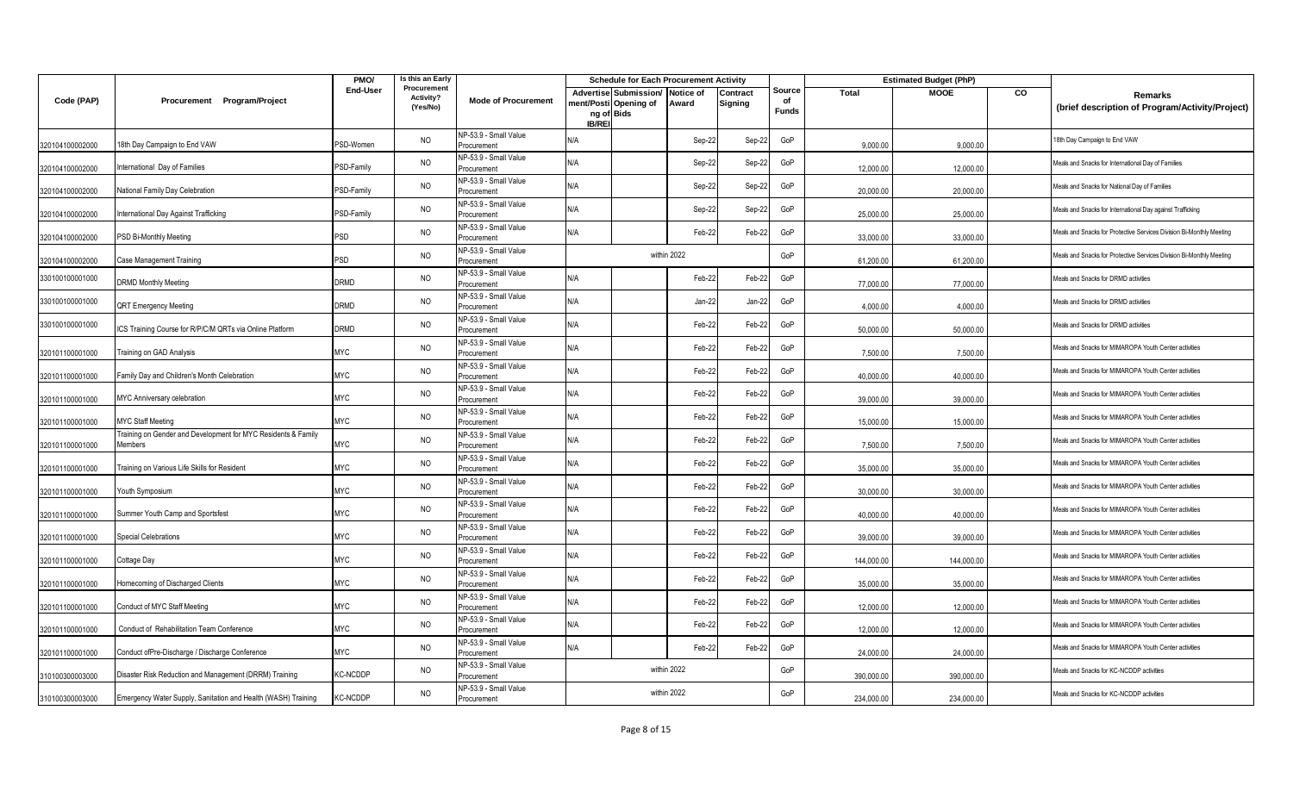|                 |                                                                          | PMO/             | Is this an Early                     |                                      |               | <b>Schedule for Each Procurement Activity</b>                |                    |                     |                              |            | <b>Estimated Budget (PhP)</b> |    |                                                                      |
|-----------------|--------------------------------------------------------------------------|------------------|--------------------------------------|--------------------------------------|---------------|--------------------------------------------------------------|--------------------|---------------------|------------------------------|------------|-------------------------------|----|----------------------------------------------------------------------|
| Code (PAP)      | Procurement Program/Project                                              | End-User         | Procurement<br>Activity?<br>(Yes/No) | <b>Mode of Procurement</b>           | <b>IB/REI</b> | Advertise Submission/<br>nent/Posti Opening of<br>ng of Bids | Notice of<br>Award | Contract<br>Signing | Source<br>of<br><b>Funds</b> | Total      | <b>MOOE</b>                   | CO | Remarks<br>(brief description of Program/Activity/Project)           |
| 320104100002000 | 18th Day Campaign to End VAW                                             | PSD-Women        | <b>NO</b>                            | NP-53.9 - Small Value<br>Procurement | N/A           |                                                              | Sep-22             | Sep-22              | GoP                          | 9,000.00   | 9,000.00                      |    | 8th Day Campaign to End VAW                                          |
| 320104100002000 | nternational Day of Families                                             | PSD-Family       | <b>NO</b>                            | NP-53.9 - Small Value<br>Procurement | N/A           |                                                              | Sep-22             | Sep-22              | GoP                          | 12,000.00  | 12,000.00                     |    | Meals and Snacks for International Day of Families                   |
| 320104100002000 | National Family Day Celebration                                          | <b>SD-Family</b> | <b>NO</b>                            | NP-53.9 - Small Value<br>Procurement | N/A           |                                                              | Sep-22             | Sep-22              | GoP                          | 20,000.00  | 20,000.00                     |    | Meals and Snacks for National Day of Families                        |
| 320104100002000 | nternational Day Against Trafficking                                     | PSD-Family       | <b>NO</b>                            | NP-53.9 - Small Value<br>Procurement | N/A           |                                                              | Sep-22             | Sep-22              | GoP                          | 25,000.00  | 25,000.00                     |    | Meals and Snacks for International Day against Trafficking           |
| 320104100002000 | PSD Bi-Monthly Meeting                                                   | PSD              | <b>NO</b>                            | NP-53.9 - Small Value<br>Procurement | N/A           |                                                              | Feb-22             | Feb-22              | GoP                          | 33,000.00  | 33,000.00                     |    | leals and Snacks for Protective Services Division Bi-Monthly Meeting |
| 320104100002000 | Case Management Training                                                 | PSD              | <b>NO</b>                            | NP-53.9 - Small Value<br>Procurement |               |                                                              | within 2022        |                     | GoP                          | 61,200.00  | 61,200.00                     |    | Meals and Snacks for Protective Services Division Bi-Monthly Meeting |
| 330100100001000 | <b>DRMD Monthly Meeting</b>                                              | <b>DRMD</b>      | <b>NO</b>                            | NP-53.9 - Small Value<br>Procurement | N/A           |                                                              | Feb-22             | Feb-22              | GoP                          | 77,000.00  | 77,000.00                     |    | Meals and Snacks for DRMD activities                                 |
| 330100100001000 | QRT Emergency Meeting                                                    | DRMD             | <b>NO</b>                            | NP-53.9 - Small Value<br>Procurement | N/A           |                                                              | Jan-22             | Jan-22              | GoP                          | 4.000.00   | 4,000.00                      |    | Meals and Snacks for DRMD activities                                 |
| 330100100001000 | ICS Training Course for R/P/C/M QRTs via Online Platform                 | DRMD             | <b>NO</b>                            | NP-53.9 - Small Value<br>Procurement | N/A           |                                                              | Feb-22             | Feb-22              | GoP                          | 50,000.00  | 50,000.00                     |    | Meals and Snacks for DRMD activities                                 |
| 320101100001000 | Training on GAD Analysis                                                 | MYC              | <b>NO</b>                            | NP-53.9 - Small Value<br>Procurement | N/A           |                                                              | Feb-22             | Feb-22              | GoP                          | 7,500.00   | 7,500.00                      |    | Meals and Snacks for MIMAROPA Youth Center activities                |
| 320101100001000 | Family Day and Children's Month Celebration                              | MYC              | <b>NO</b>                            | NP-53.9 - Small Value<br>Procurement | N/A           |                                                              | Feb-22             | Feb-22              | GoP                          | 40,000.00  | 40,000.00                     |    | Meals and Snacks for MIMAROPA Youth Center activities                |
| 320101100001000 | MYC Anniversary celebration                                              | MYC              | <b>NO</b>                            | NP-53.9 - Small Value<br>Procurement | N/A           |                                                              | Feb-22             | Feb-22              | GoP                          | 39,000.00  | 39,000.00                     |    | Meals and Snacks for MIMAROPA Youth Center activities                |
| 320101100001000 | <b>MYC Staff Meeting</b>                                                 | MYC              | <b>NO</b>                            | NP-53.9 - Small Value<br>Procurement | N/A           |                                                              | Feb-22             | Feb-22              | GoP                          | 15,000.00  | 15,000.00                     |    | Meals and Snacks for MIMAROPA Youth Center activities                |
| 320101100001000 | Fraining on Gender and Development for MYC Residents & Family<br>Members | MYC              | <b>NO</b>                            | NP-53.9 - Small Value<br>Procurement | N/A           |                                                              | Feb-22             | Feb-22              | GoP                          | 7,500.00   | 7,500.00                      |    | Meals and Snacks for MIMAROPA Youth Center activities                |
| 320101100001000 | Training on Various Life Skills for Resident                             | MYC              | <b>NO</b>                            | NP-53.9 - Small Value<br>Procurement | N/A           |                                                              | Feb-22             | Feb-22              | GoP                          | 35,000.00  | 35,000.00                     |    | Meals and Snacks for MIMAROPA Youth Center activities                |
| 320101100001000 | Youth Symposium                                                          | MYC              | <b>NO</b>                            | NP-53.9 - Small Value<br>Procurement | N/A           |                                                              | Feb-22             | Feb-22              | GoP                          | 30,000.00  | 30,000.00                     |    | leals and Snacks for MIMAROPA Youth Center activities                |
| 320101100001000 | Summer Youth Camp and Sportsfest                                         | MYC              | NO                                   | NP-53.9 - Small Value<br>Procurement | N/A           |                                                              | Feb-22             | Feb-22              | GoP                          | 40,000.00  | 40,000.00                     |    | Meals and Snacks for MIMAROPA Youth Center activities                |
| 320101100001000 | <b>Special Celebrations</b>                                              | <b>MYC</b>       | <b>NO</b>                            | NP-53.9 - Small Value<br>Procurement | N/A           |                                                              | Feb-22             | Feb-22              | GoP                          | 39,000.00  | 39,000.00                     |    | Meals and Snacks for MIMAROPA Youth Center activities                |
| 320101100001000 | Cottage Day                                                              | MYC              | <b>NO</b>                            | NP-53.9 - Small Value<br>Procurement | N/A           |                                                              | Feb-22             | Feb-22              | GoP                          | 144,000.00 | 144,000.00                    |    | Meals and Snacks for MIMAROPA Youth Center activities                |
| 320101100001000 | Homecoming of Discharged Clients                                         | MYC              | NO                                   | NP-53.9 - Small Value<br>Procurement | N/A           |                                                              | Feb-22             | Feb-22              | GoP                          | 35,000.00  | 35,000.00                     |    | Meals and Snacks for MIMAROPA Youth Center activities                |
| 320101100001000 | Conduct of MYC Staff Meeting                                             | <b>MYC</b>       | <b>NO</b>                            | NP-53.9 - Small Value<br>Procurement | N/A           |                                                              | Feb-22             | Feb-22              | GoP                          | 12,000.00  | 12,000.00                     |    | Meals and Snacks for MIMAROPA Youth Center activities                |
| 320101100001000 | Conduct of Rehabilitation Team Conference                                | <b>MYC</b>       | <b>NO</b>                            | NP-53.9 - Small Value<br>Procurement | N/A           |                                                              | Feb-22             | Feb-22              | GoP                          | 12,000.00  | 12,000.00                     |    | Meals and Snacks for MIMAROPA Youth Center activities                |
| 320101100001000 | Conduct ofPre-Discharge / Discharge Conference                           | MYC              | <b>NO</b>                            | NP-53.9 - Small Value<br>Procurement | N/A           |                                                              | Feb-22             | Feb-22              | GoP                          | 24.000.00  | 24.000.00                     |    | Meals and Snacks for MIMAROPA Youth Center activities                |
| 310100300003000 | Disaster Risk Reduction and Management (DRRM) Training                   | KC-NCDDP         | <b>NO</b>                            | NP-53.9 - Small Value<br>Procurement |               |                                                              | within 2022        |                     | GoP                          | 390,000.00 | 390,000.00                    |    | Meals and Snacks for KC-NCDDP activities                             |
| 310100300003000 | Emergency Water Supply, Sanitation and Health (WASH) Training            | KC-NCDDP         | NO                                   | NP-53.9 - Small Value<br>Procurement |               |                                                              | within 2022        |                     | GoP                          | 234,000.00 | 234,000.00                    |    | Meals and Snacks for KC-NCDDP activities                             |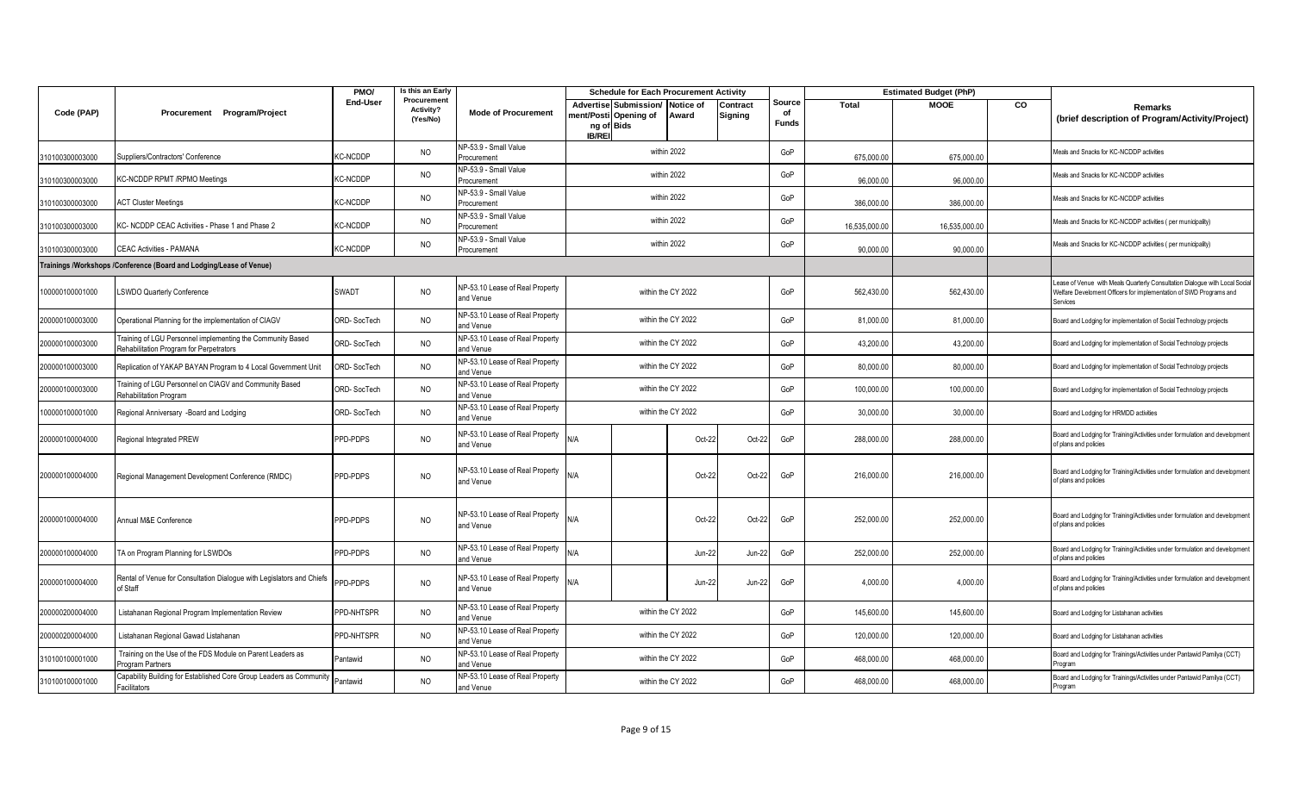|                 |                                                                                                       | PMO/               | Is this an Early                     |                                              | <b>Schedule for Each Procurement Activity</b>                                        |                    |                     |                              |               | <b>Estimated Budget (PhP)</b> |                |                                                                                                                                                              |
|-----------------|-------------------------------------------------------------------------------------------------------|--------------------|--------------------------------------|----------------------------------------------|--------------------------------------------------------------------------------------|--------------------|---------------------|------------------------------|---------------|-------------------------------|----------------|--------------------------------------------------------------------------------------------------------------------------------------------------------------|
| Code (PAP)      | Procurement Program/Project                                                                           | End-User           | Procurement<br>Activity?<br>(Yes/No) | <b>Mode of Procurement</b>                   | <b>Advertise Submission/</b><br>nent/Posti Opening of<br>ng of Bids<br><b>IB/REI</b> | Notice of<br>Award | Contract<br>Signing | Source<br>of<br><b>Funds</b> | Total         | <b>MOOE</b>                   | $\overline{c}$ | Remarks<br>(brief description of Program/Activity/Project)                                                                                                   |
| 310100300003000 | Suppliers/Contractors' Conference                                                                     | <b>KC-NCDDP</b>    | <b>NO</b>                            | NP-53.9 - Small Value<br>Procurement         |                                                                                      | within 2022        |                     | GoP                          | 675,000.00    | 675,000.00                    |                | Meals and Snacks for KC-NCDDP activities                                                                                                                     |
| 310100300003000 | KC-NCDDP RPMT /RPMO Meetings                                                                          | <b>KC-NCDDP</b>    | <b>NO</b>                            | NP-53.9 - Small Value<br>Procurement         |                                                                                      | within 2022        |                     | GoP                          | 96,000.00     | 96,000.00                     |                | Meals and Snacks for KC-NCDDP activities                                                                                                                     |
| 310100300003000 | <b>ACT Cluster Meetings</b>                                                                           | <b>KC-NCDDP</b>    | <b>NO</b>                            | NP-53.9 - Small Value<br>Procurement         |                                                                                      | within 2022        |                     | GoP                          | 386,000.00    | 386,000.00                    |                | Meals and Snacks for KC-NCDDP activities                                                                                                                     |
| 310100300003000 | KC- NCDDP CEAC Activities - Phase 1 and Phase 2                                                       | KC-NCDDP           | <b>NO</b>                            | NP-53.9 - Small Value<br>Procurement         |                                                                                      | within 2022        |                     | GoP                          | 16,535,000.00 | 16,535,000.00                 |                | Meals and Snacks for KC-NCDDP activities (per municipality)                                                                                                  |
| 310100300003000 | <b>CEAC Activities - PAMANA</b>                                                                       | <b>KC-NCDDP</b>    | <b>NO</b>                            | NP-53.9 - Small Value<br>Procurement         |                                                                                      | within 2022        |                     | GoP                          | 90,000.00     | 90,000.00                     |                | Meals and Snacks for KC-NCDDP activities (per municipality)                                                                                                  |
|                 | Trainings /Workshops /Conference (Board and Lodging/Lease of Venue)                                   |                    |                                      |                                              |                                                                                      |                    |                     |                              |               |                               |                |                                                                                                                                                              |
| 100000100001000 | LSWDO Quarterly Conference                                                                            | SWADT              | <b>NO</b>                            | NP-53.10 Lease of Real Property<br>and Venue |                                                                                      | within the CY 2022 |                     | GoP                          | 562,430.00    | 562,430.00                    |                | ease of Venue with Meals Quarterly Consultation Dialogue with Local Social<br>Nelfare Develoment Officers for implementation of SWD Programs and<br>Services |
| 200000100003000 | Operational Planning for the implementation of CIAGV                                                  | ORD-SocTech        | <b>NO</b>                            | NP-53.10 Lease of Real Property<br>and Venue |                                                                                      | within the CY 2022 |                     | GoP                          | 81.000.00     | 81,000.00                     |                | Board and Lodging for implementation of Social Technology projects                                                                                           |
| 200000100003000 | Training of LGU Personnel implementing the Community Based<br>Rehabilitation Program for Perpetrators | <b>ORD-SocTech</b> | NO                                   | NP-53.10 Lease of Real Property<br>and Venue |                                                                                      | within the CY 2022 |                     | GoP                          | 43,200.00     | 43,200.00                     |                | Board and Lodging for implementation of Social Technology projects                                                                                           |
| 200000100003000 | Replication of YAKAP BAYAN Program to 4 Local Government Unit                                         | ORD-SocTech        | <b>NO</b>                            | NP-53.10 Lease of Real Property<br>and Venue |                                                                                      | within the CY 2022 |                     | GoP                          | 80,000.00     | 80,000.00                     |                | Board and Lodging for implementation of Social Technology projects                                                                                           |
| 200000100003000 | Fraining of LGU Personnel on CIAGV and Community Based<br><b>Rehabilitation Program</b>               | ORD-SocTech        | <b>NO</b>                            | NP-53.10 Lease of Real Property<br>and Venue |                                                                                      | within the CY 2022 |                     | GoP                          | 100,000.00    | 100,000.00                    |                | Board and Lodging for implementation of Social Technology projects                                                                                           |
| 100000100001000 | Regional Anniversary -Board and Lodging                                                               | ORD-SocTech        | <b>NO</b>                            | NP-53.10 Lease of Real Property<br>and Venue |                                                                                      | within the CY 2022 |                     | GoP                          | 30,000.00     | 30,000.00                     |                | Board and Lodging for HRMDD activities                                                                                                                       |
| 200000100004000 | Regional Integrated PREW                                                                              | PPD-PDPS           | <b>NO</b>                            | NP-53.10 Lease of Real Property<br>and Venue | N/A                                                                                  | Oct-22             | Oct-22              | GoP                          | 288,000.00    | 288,000.00                    |                | Board and Lodging for Training/Activities under formulation and development<br>of plans and policies                                                         |
| 200000100004000 | Regional Management Development Conference (RMDC)                                                     | PPD-PDPS           | <b>NO</b>                            | NP-53.10 Lease of Real Property<br>and Venue | N/A                                                                                  | Oct-22             | Oct-22              | GoP                          | 216,000.00    | 216,000.00                    |                | Board and Lodging for Training/Activities under formulation and development<br>of plans and policies                                                         |
| 200000100004000 | Annual M&E Conference                                                                                 | PPD-PDPS           | <b>NO</b>                            | NP-53.10 Lease of Real Property<br>and Venue | N/A                                                                                  | Oct-22             | Oct-22              | GoP                          | 252,000.00    | 252,000.00                    |                | Board and Lodging for Training/Activities under formulation and development<br>of plans and policies                                                         |
| 200000100004000 | TA on Program Planning for LSWDOs                                                                     | PPD-PDPS           | <b>NO</b>                            | NP-53.10 Lease of Real Property<br>and Venue | <b>N/A</b>                                                                           | Jun-22             | Jun-22              | GoP                          | 252,000.00    | 252,000.00                    |                | Board and Lodging for Training/Activities under formulation and development<br>of plans and policies                                                         |
| 200000100004000 | Rental of Venue for Consultation Dialogue with Legislators and Chiefs<br>of Staff                     | PPD-PDPS           | <b>NO</b>                            | NP-53.10 Lease of Real Property<br>and Venue | N/A                                                                                  | Jun-22             | Jun-22              | GoP                          | 4,000.00      | 4,000.00                      |                | Board and Lodging for Training/Activities under formulation and development<br>of plans and policies                                                         |
| 200000200004000 | Listahanan Regional Program Implementation Review                                                     | PPD-NHTSPR         | <b>NO</b>                            | NP-53.10 Lease of Real Property<br>and Venue |                                                                                      | within the CY 2022 |                     | GoP                          | 145,600.00    | 145,600.00                    |                | Board and Lodging for Listahanan activities                                                                                                                  |
| 200000200004000 | Listahanan Regional Gawad Listahanan                                                                  | PPD-NHTSPR         | <b>NO</b>                            | NP-53.10 Lease of Real Property<br>and Venue | within the CY 2022                                                                   |                    |                     |                              | 120,000.00    | 120,000.00                    |                | Board and Lodging for Listahanan activities                                                                                                                  |
| 310100100001000 | Training on the Use of the FDS Module on Parent Leaders as<br>Program Partners                        | Pantawid           | <b>NO</b>                            | NP-53.10 Lease of Real Property<br>and Venue |                                                                                      | within the CY 2022 |                     | GoP                          | 468,000.00    | 468,000.00                    |                | Board and Lodging for Trainings/Activities under Pantawid Pamilya (CCT)<br>roaram                                                                            |
| 310100100001000 | Capability Building for Established Core Group Leaders as Community Pantawid<br>Facilitators          |                    | <b>NO</b>                            | NP-53.10 Lease of Real Property<br>and Venue |                                                                                      | within the CY 2022 |                     | GoP                          | 468,000.00    | 468,000.00                    |                | Board and Lodging for Trainings/Activities under Pantawid Pamilya (CCT)<br>Program                                                                           |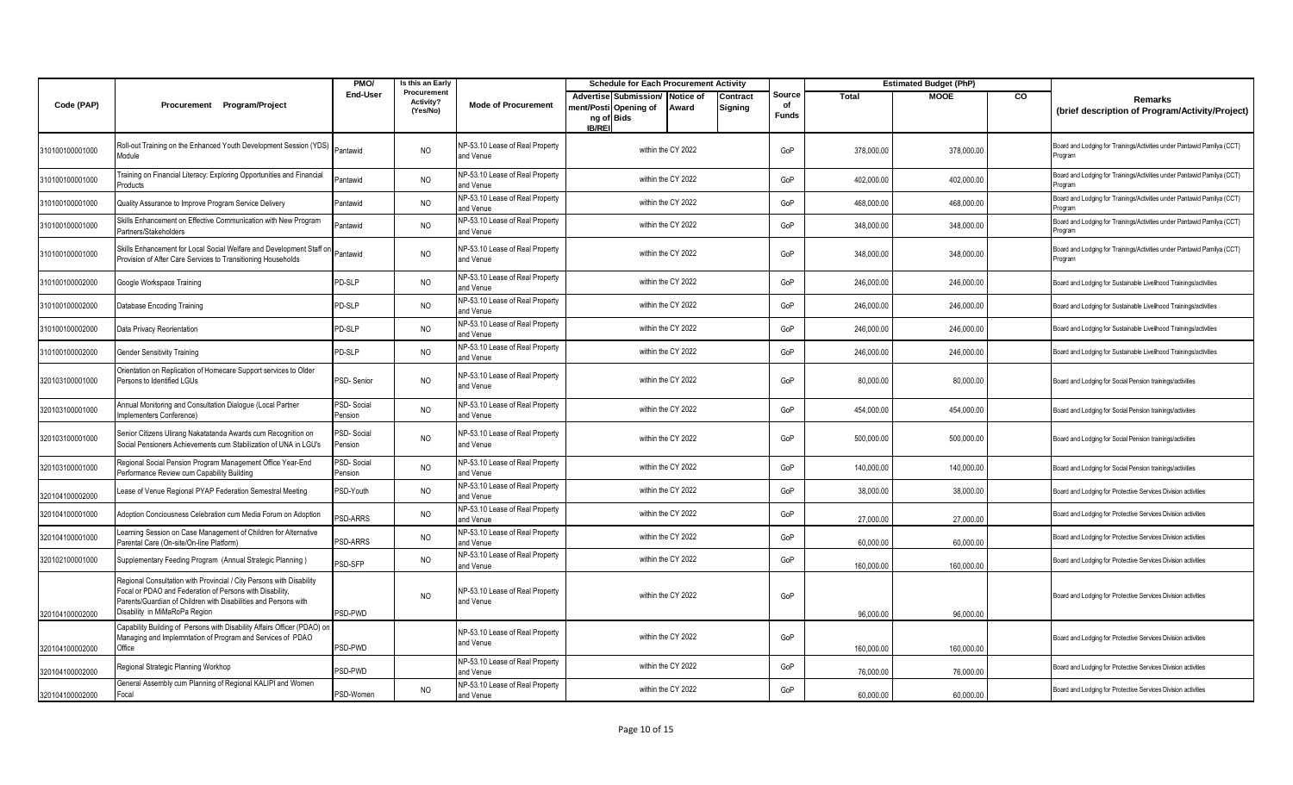|                 |                                                                                                                                                                                                                                      | PMO/                  | is this an Early                     |                                              | <b>Schedule for Each Procurement Activity</b>                                                                              |                              |            | <b>Estimated Budget (PhP)</b> |    |                                                                                    |
|-----------------|--------------------------------------------------------------------------------------------------------------------------------------------------------------------------------------------------------------------------------------|-----------------------|--------------------------------------|----------------------------------------------|----------------------------------------------------------------------------------------------------------------------------|------------------------------|------------|-------------------------------|----|------------------------------------------------------------------------------------|
| Code (PAP)      | Procurement Program/Project                                                                                                                                                                                                          | End-User              | Procurement<br>Activity?<br>(Yes/No) | <b>Mode of Procurement</b>                   | Advertise Submission/<br>Notice of<br>Contract<br>ment/Posti Opening of<br>Award<br>Signing<br>ng of Bids<br><b>IB/REI</b> | Source<br>of<br><b>Funds</b> | Total      | <b>MOOE</b>                   | co | Remarks<br>(brief description of Program/Activity/Project)                         |
| 310100100001000 | Roll-out Training on the Enhanced Youth Development Session (YDS)<br>Module                                                                                                                                                          | Pantawid              | <b>NO</b>                            | NP-53.10 Lease of Real Property<br>and Venue | within the CY 2022                                                                                                         | GoP                          | 378,000.00 | 378,000.00                    |    | Board and Lodging for Trainings/Activities under Pantawid Pamilya (CCT)<br>rogram  |
| 310100100001000 | raining on Financial Literacy: Exploring Opportunities and Financial<br>'roducts                                                                                                                                                     | Pantawid              | <b>NO</b>                            | NP-53.10 Lease of Real Property<br>and Venue | within the CY 2022                                                                                                         | GoP                          | 402,000.00 | 402,000.00                    |    | Board and Lodging for Trainings/Activities under Pantawid Pamilya (CCT)<br>rogram  |
| 310100100001000 | Quality Assurance to Improve Program Service Delivery                                                                                                                                                                                | Pantawid              | <b>NO</b>                            | NP-53.10 Lease of Real Property<br>and Venue | within the CY 2022                                                                                                         | GoP                          | 468,000.00 | 468,000.00                    |    | Board and Lodging for Trainings/Activities under Pantawid Pamilya (CCT)<br>Program |
| 310100100001000 | Skills Enhancement on Effective Communication with New Program<br>Partners/Stakeholders                                                                                                                                              | Pantawid              | <b>NO</b>                            | NP-53.10 Lease of Real Property<br>and Venue | within the CY 2022                                                                                                         | GoP                          | 348,000.00 | 348,000.00                    |    | Board and Lodging for Trainings/Activities under Pantawid Pamilya (CCT)<br>rogram  |
| 310100100001000 | Skills Enhancement for Local Social Welfare and Development Staff on<br>Provision of After Care Services to Transitioning Households                                                                                                 | Pantawid              | <b>NO</b>                            | NP-53.10 Lease of Real Property<br>and Venue | within the CY 2022                                                                                                         | GoP                          | 348,000.00 | 348,000.00                    |    | Board and Lodging for Trainings/Activities under Pantawid Pamilya (CCT)<br>rogram  |
| 310100100002000 | Google Workspace Training                                                                                                                                                                                                            | PD-SLP                | N <sub>O</sub>                       | NP-53.10 Lease of Real Property<br>and Venue | within the CY 2022                                                                                                         | GoP                          | 246,000.00 | 246,000.00                    |    | Board and Lodging for Sustainable Livelihood Trainings/activities                  |
| 310100100002000 | Database Encoding Training                                                                                                                                                                                                           | PD-SLP                | <b>NO</b>                            | NP-53.10 Lease of Real Property<br>and Venue | within the CY 2022                                                                                                         | GoP                          | 246,000.00 | 246,000.00                    |    | Board and Lodging for Sustainable Livelihood Trainings/activities                  |
| 310100100002000 | Data Privacy Reorientation                                                                                                                                                                                                           | PD-SLP                | <b>NO</b>                            | NP-53.10 Lease of Real Property<br>and Venue | within the CY 2022                                                                                                         | GoP                          | 246,000.00 | 246,000.00                    |    | Board and Lodging for Sustainable Livelihood Trainings/activities                  |
| 310100100002000 | <b>Gender Sensitivity Training</b>                                                                                                                                                                                                   | PD-SLP                | <b>NO</b>                            | NP-53.10 Lease of Real Property<br>and Venue | within the CY 2022                                                                                                         | GoP                          | 246,000.00 | 246,000.00                    |    | Board and Lodging for Sustainable Livelihood Trainings/activities                  |
| 320103100001000 | Orientation on Replication of Homecare Support services to Older<br>Persons to Identified LGUs                                                                                                                                       | PSD-Senior            | <b>NO</b>                            | NP-53.10 Lease of Real Property<br>and Venue | within the CY 2022                                                                                                         | GoP                          | 80,000.00  | 80,000.00                     |    | Board and Lodging for Social Pension trainings/activities                          |
| 320103100001000 | Annual Monitoring and Consultation Dialogue (Local Partner<br>Implementers Conference)                                                                                                                                               | PSD-Social<br>Pension | <b>NO</b>                            | NP-53.10 Lease of Real Property<br>and Venue | within the CY 2022                                                                                                         | GoP                          | 454,000.00 | 454,000.00                    |    | Board and Lodging for Social Pension trainings/activities                          |
| 320103100001000 | Senior Citizens Ulirang Nakatatanda Awards cum Recognition on<br>Social Pensioners Achievements cum Stabilization of UNA in LGU's                                                                                                    | PSD-Social<br>Pension | <b>NO</b>                            | NP-53.10 Lease of Real Property<br>and Venue | within the CY 2022                                                                                                         | GoP                          | 500,000.00 | 500,000.00                    |    | Board and Lodging for Social Pension trainings/activities                          |
| 320103100001000 | Regional Social Pension Program Management Office Year-End<br>Performance Review cum Capability Building                                                                                                                             | PSD-Social<br>Pension | N <sub>O</sub>                       | NP-53.10 Lease of Real Property<br>and Venue | within the CY 2022                                                                                                         | GoP                          | 140,000.00 | 140,000.00                    |    | Board and Lodging for Social Pension trainings/activities                          |
| 320104100002000 | ease of Venue Regional PYAP Federation Semestral Meeting                                                                                                                                                                             | PSD-Youth             | <b>NO</b>                            | NP-53.10 Lease of Real Property<br>and Venue | within the CY 2022                                                                                                         | GoP                          | 38,000.00  | 38,000.00                     |    | Board and Lodging for Protective Services Division activities                      |
| 320104100001000 | Adoption Conciousness Celebration cum Media Forum on Adoption                                                                                                                                                                        | <b>SD-ARRS</b>        | <b>NO</b>                            | NP-53.10 Lease of Real Property<br>and Venue | within the CY 2022                                                                                                         | GoP                          | 27,000.00  | 27,000.00                     |    | Board and Lodging for Protective Services Division activities                      |
| 320104100001000 | Learning Session on Case Management of Children for Alternative<br>Parental Care (On-site/On-line Platform)                                                                                                                          | PSD-ARRS              | <b>NO</b>                            | NP-53.10 Lease of Real Property<br>and Venue | within the CY 2022                                                                                                         | GoP                          | 60,000.00  | 60.000.00                     |    | Board and Lodging for Protective Services Division activities                      |
| 320102100001000 | Supplementary Feeding Program (Annual Strategic Planning)                                                                                                                                                                            | PSD-SFP               | <b>NO</b>                            | NP-53.10 Lease of Real Property<br>and Venue | within the CY 2022                                                                                                         | GoP                          | 160,000.00 | 160,000.00                    |    | Board and Lodging for Protective Services Division activities                      |
| 320104100002000 | Regional Consultation with Provincial / City Persons with Disability<br>Focal or PDAO and Federation of Persons with Disability,<br>Parents/Guardian of Children with Disabilities and Persons with<br>Disability in MiMaRoPa Region | PSD-PWD               | <sub>NO</sub>                        | NP-53.10 Lease of Real Property<br>and Venue | within the CY 2022                                                                                                         | GoP                          | 96,000.00  | 96,000.00                     |    | Board and Lodging for Protective Services Division activities                      |
| 320104100002000 | Capability Building of Persons with Disability Affairs Officer (PDAO) on<br>Managing and Implemntation of Program and Services of PDAO<br>Office                                                                                     | PSD-PWD               |                                      | NP-53.10 Lease of Real Property<br>and Venue | within the CY 2022                                                                                                         | GoP                          | 160,000.00 | 160,000.00                    |    | Board and Lodging for Protective Services Division activities                      |
| 320104100002000 | Regional Strategic Planning Workhop                                                                                                                                                                                                  | PSD-PWD               |                                      | NP-53.10 Lease of Real Property<br>and Venue | within the CY 2022                                                                                                         | GoP                          | 76,000.00  | 76,000.00                     |    | Board and Lodging for Protective Services Division activities                      |
| 320104100002000 | General Assembly cum Planning of Regional KALIPI and Women<br>Focal                                                                                                                                                                  | PSD-Women             | <b>NO</b>                            | NP-53.10 Lease of Real Property<br>and Venue | within the CY 2022                                                                                                         | GoP                          | 60.000.00  | 60.000.00                     |    | Board and Lodging for Protective Services Division activities                      |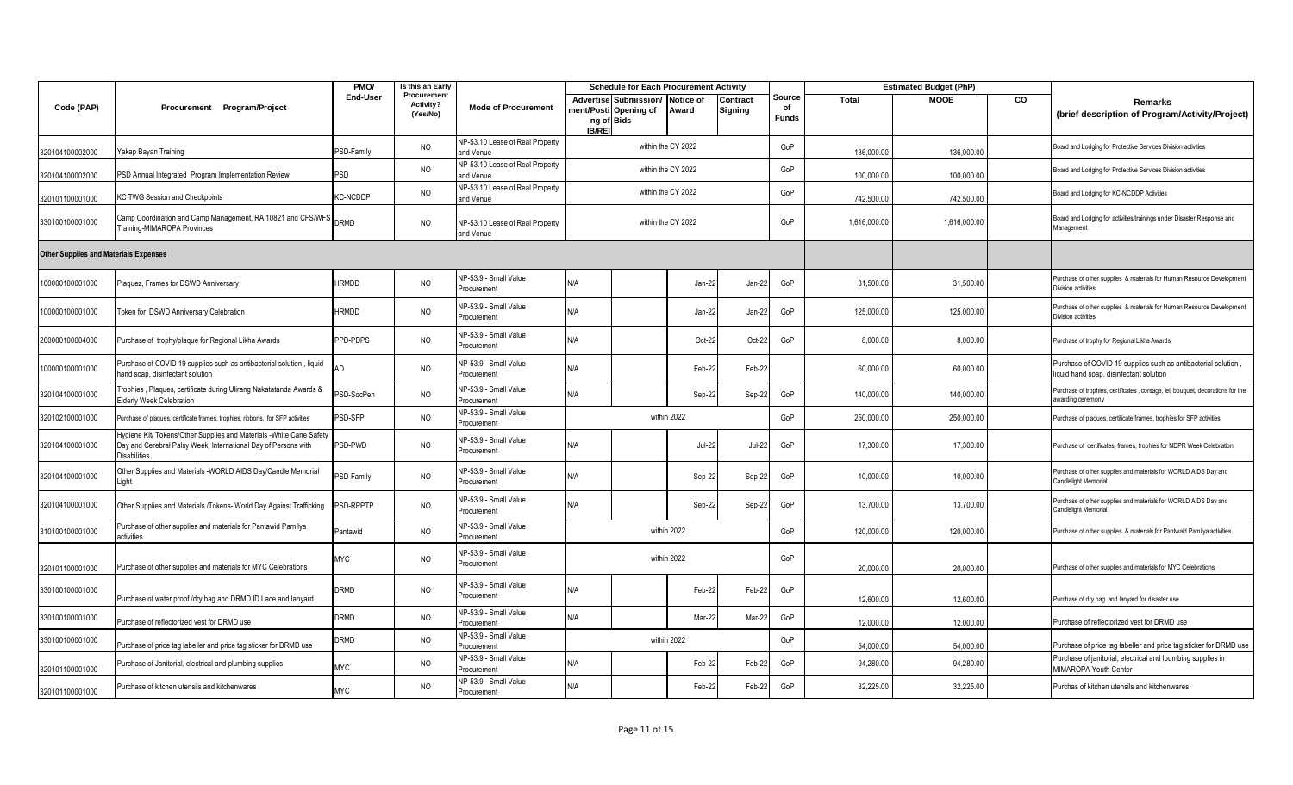|                                              |                                                                                                                                                       | PMO/            | Is this an Early                     |                                              |                                                                              |                    | <b>Schedule for Each Procurement Activity</b> |                     |                              |              | <b>Estimated Budget (PhP)</b> |    |                                                                                                          |
|----------------------------------------------|-------------------------------------------------------------------------------------------------------------------------------------------------------|-----------------|--------------------------------------|----------------------------------------------|------------------------------------------------------------------------------|--------------------|-----------------------------------------------|---------------------|------------------------------|--------------|-------------------------------|----|----------------------------------------------------------------------------------------------------------|
| Code (PAP)                                   | Procurement Program/Project                                                                                                                           | <b>End-User</b> | Procurement<br>Activity?<br>(Yes/No) | <b>Mode of Procurement</b>                   | Advertise Submission/<br>nent/Posti Opening of<br>ng of Bids<br><b>IB/RE</b> |                    | Notice of<br>Award                            | Contract<br>Signing | Source<br>of<br><b>Funds</b> | <b>Total</b> | <b>MOOE</b>                   | CO | Remarks<br>(brief description of Program/Activity/Project)                                               |
| 320104100002000                              | Yakap Bayan Training                                                                                                                                  | PSD-Family      | <b>NO</b>                            | NP-53.10 Lease of Real Property<br>and Venue |                                                                              | within the CY 2022 |                                               |                     | GoP                          | 136,000.00   | 136,000.00                    |    | Board and Lodging for Protective Services Division activities                                            |
| 320104100002000                              | PSD Annual Integrated Program Implementation Review                                                                                                   | <b>PSD</b>      | <b>NO</b>                            | NP-53.10 Lease of Real Property<br>and Venue |                                                                              | within the CY 2022 |                                               |                     | GoP                          | 100,000.00   | 100,000.00                    |    | Board and Lodging for Protective Services Division activities                                            |
| 320101100001000                              | KC TWG Session and Checkpoints                                                                                                                        | <b>KC-NCDDP</b> | <b>NO</b>                            | NP-53.10 Lease of Real Property<br>and Venue |                                                                              | within the CY 2022 |                                               |                     | GoP                          | 742,500.00   | 742,500.00                    |    | Board and Lodging for KC-NCDDP Activities                                                                |
| 330100100001000                              | Camp Coordination and Camp Management, RA 10821 and CFS/WFS<br>Training-MIMAROPA Provinces                                                            | <b>DRMD</b>     | <b>NO</b>                            | NP-53.10 Lease of Real Property<br>and Venue |                                                                              | within the CY 2022 |                                               |                     | GoP                          | 1,616,000.00 | 1,616,000.00                  |    | Board and Lodging for activities/trainings under Disaster Response and<br>Management                     |
| <b>Other Supplies and Materials Expenses</b> |                                                                                                                                                       |                 |                                      |                                              |                                                                              |                    |                                               |                     |                              |              |                               |    |                                                                                                          |
| 100000100001000                              | Plaquez, Frames for DSWD Anniversary                                                                                                                  | <b>HRMDD</b>    | <b>NO</b>                            | NP-53.9 - Small Value<br>Procurement         | N/A                                                                          |                    | Jan-22                                        | Jan-22              | GoP                          | 31,500.00    | 31,500.00                     |    | Purchase of other supplies & materials for Human Resource Development<br>Division activities             |
| 00000100001000                               | <b>Token for DSWD Anniversary Celebration</b>                                                                                                         | <b>HRMDD</b>    | <b>NO</b>                            | NP-53.9 - Small Value<br>Procurement         | N/A                                                                          |                    | Jan-22                                        | Jan-22              | GoP                          | 125,000.00   | 125,000.00                    |    | Purchase of other supplies & materials for Human Resource Development<br>Division activities             |
| 200000100004000                              | Purchase of trophy/plaque for Regional Likha Awards                                                                                                   | PPD-PDPS        | <b>NO</b>                            | NP-53.9 - Small Value<br>Procurement         | N/A                                                                          |                    | Oct-22                                        | Oct-22              | GoP                          | 8,000.00     | 8,000.00                      |    | Purchase of trophy for Regional Likha Awards                                                             |
| 00000100001000                               | Purchase of COVID 19 supplies such as antibacterial solution, liquid<br>hand soap, disinfectant solution                                              | AD              | <b>NO</b>                            | NP-53.9 - Small Value<br>Procurement         | N/A                                                                          |                    | Feb-22                                        | Feb-22              |                              | 60,000.00    | 60,000.00                     |    | Purchase of COVID 19 supplies such as antibacterial solution,<br>liquid hand soap, disinfectant solution |
| 320104100001000                              | Trophies, Plaques, certificate during Ulirang Nakatatanda Awards &<br>Elderly Week Celebration                                                        | PSD-SocPen      | <b>NO</b>                            | NP-53.9 - Small Value<br>Procurement         | N/A                                                                          |                    | Sep-22                                        | Sep-22              | GoP                          | 140,000.00   | 140,000.00                    |    | Purchase of trophies, certificates, corsage, lei, bouquet, decorations for the<br>awarding ceremony      |
| 320102100001000                              | Purchase of plaques, certificate frames, trophies, ribbons, for SFP activities                                                                        | PSD-SFP         | <b>NO</b>                            | NP-53.9 - Small Value<br>Procurement         |                                                                              |                    | within 2022                                   |                     | GoP                          | 250,000.00   | 250,000.00                    |    | Purchase of plaques, certificate frames, trophies for SFP activities                                     |
| 320104100001000                              | lygiene Kit/ Tokens/Other Supplies and Materials -White Cane Safety<br>Day and Cerebral Palsy Week, International Day of Persons with<br>Disabilities | PSD-PWD         | <b>NO</b>                            | NP-53.9 - Small Value<br>Procurement         | N/A                                                                          |                    | $Jul-22$                                      | <b>Jul-22</b>       | GoP                          | 17,300.00    | 17,300.00                     |    | Purchase of certificates, frames, trophies for NDPR Week Celebration                                     |
| 320104100001000                              | Other Supplies and Materials -WORLD AIDS Day/Candle Memorial<br>_ight                                                                                 | PSD-Family      | <b>NO</b>                            | NP-53.9 - Small Value<br>Procurement         | N/A                                                                          |                    | Sep-22                                        | Sep-22              | GoP                          | 10,000.00    | 10,000.00                     |    | Purchase of other supplies and materials for WORLD AIDS Day and<br>Candlelight Memorial                  |
| 320104100001000                              | Other Supplies and Materials /Tokens- World Day Against Trafficking                                                                                   | PSD-RPPTP       | <b>NO</b>                            | NP-53.9 - Small Value<br>Procurement         | N/A                                                                          |                    | Sep-22                                        | Sep-22              | GoP                          | 13,700.00    | 13,700.00                     |    | Purchase of other supplies and materials for WORLD AIDS Day and<br>Candlelight Memorial                  |
| 310100100001000                              | Purchase of other supplies and materials for Pantawid Pamilya<br>activities                                                                           | Pantawid        | <b>NO</b>                            | NP-53.9 - Small Value<br>Procurement         |                                                                              |                    | within 2022                                   |                     | GoP                          | 120,000.00   | 120,000.00                    |    | Purchase of other supplies & materials for Pantwaid Pamilya activities                                   |
| 320101100001000                              | Purchase of other supplies and materials for MYC Celebrations                                                                                         | <b>MYC</b>      | <b>NO</b>                            | NP-53.9 - Small Value<br>Procurement         |                                                                              |                    | within 2022                                   |                     | GoP                          | 20,000.00    | 20,000.00                     |    | Purchase of other supplies and materials for MYC Celebrations                                            |
| 330100100001000                              | Purchase of water proof /dry bag and DRMD ID Lace and lanyard                                                                                         | <b>DRMD</b>     | <b>NO</b>                            | NP-53.9 - Small Value<br>Procurement         | N/A                                                                          |                    | Feb-22                                        | Feb-22              | GoP                          | 12,600.00    | 12,600.00                     |    | Purchase of dry bag and lanyard for disaster use                                                         |
| 330100100001000                              | Purchase of reflectorized vest for DRMD use                                                                                                           | <b>DRMD</b>     | <b>NO</b>                            | NP-53.9 - Small Value<br>Procurement         | N/A                                                                          |                    | Mar-22                                        | Mar-22              | GoP                          | 12,000.00    | 12,000.00                     |    | Purchase of reflectorized vest for DRMD use                                                              |
| 330100100001000                              | Purchase of price tag labeller and price tag sticker for DRMD use                                                                                     | <b>ORMD</b>     | <b>NO</b>                            | NP-53.9 - Small Value<br>Procurement         |                                                                              |                    | within 2022                                   |                     | GoP                          | 54,000.00    | 54,000.00                     |    | Purchase of price tag labeller and price tag sticker for DRMD use                                        |
| 320101100001000                              | Purchase of Janitorial, electrical and plumbing supplies                                                                                              | <b>MYC</b>      | <b>NO</b>                            | NP-53.9 - Small Value<br>Procurement         | N/A                                                                          |                    | Feb-22                                        | Feb-22              | GoP                          | 94,280.00    | 94,280.00                     |    | Purchase of janitorial, electrical and Ipumbing supplies in<br>MIMAROPA Youth Center                     |
| 320101100001000                              | Purchase of kitchen utensils and kitchenwares                                                                                                         | <b>MYC</b>      | <b>NO</b>                            | NP-53.9 - Small Value<br>Procurement         | N/A                                                                          |                    | Feb-22                                        | Feb-22              | GoP                          | 32,225.00    | 32,225.00                     |    | Purchas of kitchen utensils and kitchenwares                                                             |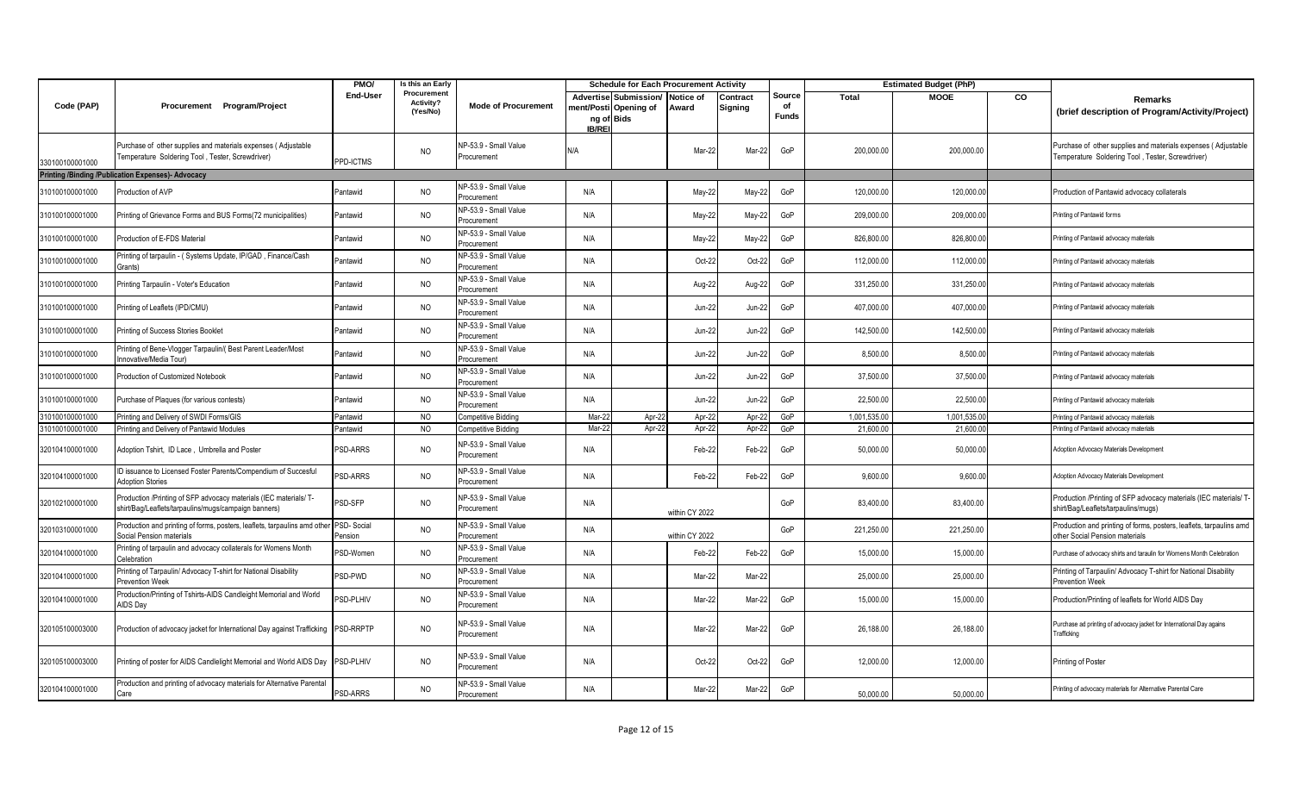|                 |                                                                                                                           | PMO/                  | Is this an Early                     |                                      |                             | <b>Schedule for Each Procurement Activity</b>  |                    |                     |                              |              | <b>Estimated Budget (PhP)</b> |    |                                                                                                                   |
|-----------------|---------------------------------------------------------------------------------------------------------------------------|-----------------------|--------------------------------------|--------------------------------------|-----------------------------|------------------------------------------------|--------------------|---------------------|------------------------------|--------------|-------------------------------|----|-------------------------------------------------------------------------------------------------------------------|
| Code (PAP)      | Procurement Program/Project                                                                                               | <b>End-User</b>       | Procurement<br>Activity?<br>(Yes/No) | <b>Mode of Procurement</b>           | ng of Bids<br><b>IB/REI</b> | Advertise Submission/<br>ment/Posti Opening of | Notice of<br>Award | Contract<br>Signing | Source<br>of<br><b>Funds</b> | <b>Total</b> | <b>MOOE</b>                   | CO | Remarks<br>(brief description of Program/Activity/Project)                                                        |
| 330100100001000 | Purchase of other supplies and materials expenses (Adjustable<br>Temperature Soldering Tool, Tester, Screwdriver)         | PPD-ICTMS             | <b>NO</b>                            | NP-53.9 - Small Value<br>Procurement | N/A                         |                                                | Mar-22             | Mar-22              | GoP                          | 200,000.00   | 200,000.00                    |    | Purchase of other supplies and materials expenses (Adjustable<br>Temperature Soldering Tool, Tester, Screwdriver) |
|                 | <b>Printing /Binding /Publication Expenses)- Advocacy</b>                                                                 |                       |                                      |                                      |                             |                                                |                    |                     |                              |              |                               |    |                                                                                                                   |
| 310100100001000 | Production of AVP                                                                                                         | Pantawid              | <b>NO</b>                            | NP-53.9 - Small Value<br>Procurement | N/A                         |                                                | May-22             | May-22              | GoP                          | 120,000.00   | 120,000.00                    |    | Production of Pantawid advocacy collaterals                                                                       |
| 310100100001000 | Printing of Grievance Forms and BUS Forms(72 municipalities)                                                              | Pantawid              | <b>NO</b>                            | NP-53.9 - Small Value<br>Procurement | N/A                         |                                                | May-22             | May-22              | GoP                          | 209,000.00   | 209,000.00                    |    | Printing of Pantawid forms                                                                                        |
| 310100100001000 | Production of E-FDS Material                                                                                              | Pantawid              | <b>NO</b>                            | NP-53.9 - Small Value<br>Procurement | N/A                         |                                                | May-22             | May-22              | GoP                          | 826,800.00   | 826,800.00                    |    | Printing of Pantawid advocacy materials                                                                           |
| 310100100001000 | Printing of tarpaulin - (Systems Update, IP/GAD, Finance/Cash<br>Grants)                                                  | Pantawid              | <b>NO</b>                            | NP-53.9 - Small Value<br>Procurement | N/A                         |                                                | Oct-22             | Oct-22              | GoP                          | 112,000.00   | 112,000.00                    |    | Printing of Pantawid advocacy materials                                                                           |
| 310100100001000 | Printing Tarpaulin - Voter's Education                                                                                    | Pantawid              | <b>NO</b>                            | NP-53.9 - Small Value<br>Procurement | N/A                         |                                                | Aug-22             | Aug-22              | GoP                          | 331,250.00   | 331,250.00                    |    | Printing of Pantawid advocacy materials                                                                           |
| 310100100001000 | Printing of Leaflets (IPD/CMU)                                                                                            | Pantawid              | NO                                   | NP-53.9 - Small Value<br>Procurement | N/A                         |                                                | Jun-22             | Jun-22              | GoP                          | 407,000.00   | 407,000.00                    |    | Printing of Pantawid advocacy materials                                                                           |
| 310100100001000 | Printing of Success Stories Booklet                                                                                       | Pantawid              | <b>NO</b>                            | NP-53.9 - Small Value<br>Procurement | N/A                         |                                                | $Jun-22$           | <b>Jun-22</b>       | GoP                          | 142,500.00   | 142,500.00                    |    | Printing of Pantawid advocacy materials                                                                           |
| 310100100001000 | Printing of Bene-Vlogger Tarpaulin/( Best Parent Leader/Most<br>Innovative/Media Tour)                                    | Pantawid              | <b>NO</b>                            | NP-53.9 - Small Value<br>Procurement | N/A                         |                                                | Jun-22             | <b>Jun-22</b>       | GoP                          | 8,500.00     | 8,500.00                      |    | Printing of Pantawid advocacy materials                                                                           |
| 310100100001000 | Production of Customized Notebook                                                                                         | Pantawid              | <b>NO</b>                            | NP-53.9 - Small Value<br>Procurement | N/A                         |                                                | Jun-22             | <b>Jun-22</b>       | GoP                          | 37,500.00    | 37,500.0                      |    | Printing of Pantawid advocacy materials                                                                           |
| 310100100001000 | Purchase of Plaques (for various contests)                                                                                | Pantawid              | <b>NO</b>                            | NP-53.9 - Small Value<br>Procurement | N/A                         |                                                | Jun-22             | <b>Jun-22</b>       | GoP                          | 22,500.00    | 22,500.00                     |    | Printing of Pantawid advocacy materials                                                                           |
| 310100100001000 | Printing and Delivery of SWDI Forms/GIS                                                                                   | Pantawid              | <b>NO</b>                            | Competitive Bidding                  | Mar-2                       | Apr-2                                          | Apr-22             | Apr-2               | GoP                          | 1,001,535.00 | 1,001,535.0                   |    | Printing of Pantawid advocacy materials                                                                           |
| 310100100001000 | Printing and Delivery of Pantawid Modules                                                                                 | Pantawid              | NO.                                  | Competitive Bidding                  | Mar-2                       | Apr-22                                         | Apr-22             | Apr-22              | GoP                          | 21,600.00    | 21,600.0                      |    | Printing of Pantawid advocacy materials                                                                           |
| 320104100001000 | Adoption Tshirt, ID Lace, Umbrella and Poster                                                                             | <b>PSD-ARRS</b>       | <b>NO</b>                            | NP-53.9 - Small Value<br>Procurement | N/A                         |                                                | Feb-22             | Feb-22              | GoP                          | 50,000.00    | 50,000.00                     |    | Adoption Advocacy Materials Development                                                                           |
| 320104100001000 | ID issuance to Licensed Foster Parents/Compendium of Succesful<br><b>Adoption Stories</b>                                 | <b>PSD-ARRS</b>       | <b>NO</b>                            | NP-53.9 - Small Value<br>Procurement | N/A                         |                                                | Feb-22             | Feb-22              | GoP                          | 9.600.00     | 9,600.0                       |    | Adoption Advocacy Materials Development                                                                           |
| 320102100001000 | Production /Printing of SFP advocacy materials (IEC materials/ T-<br>shirt/Bag/Leaflets/tarpaulins/mugs/campaign banners) | PSD-SFP               | <b>NO</b>                            | NP-53.9 - Small Value<br>Procurement | N/A                         |                                                | within CY 2022     |                     | GoP                          | 83,400.00    | 83,400.00                     |    | Production /Printing of SFP advocacy materials (IEC materials/ T<br>shirt/Bag/Leaflets/tarpaulins/mugs)           |
| 320103100001000 | Production and printing of forms, posters, leaflets, tarpaulins amd other<br>Social Pension materials                     | PSD-Social<br>Pension | <b>NO</b>                            | NP-53.9 - Small Value<br>Procurement | N/A                         |                                                | within CY 2022     |                     | GoP                          | 221,250.00   | 221,250.00                    |    | Production and printing of forms, posters, leaflets, tarpaulins amd<br>other Social Pension materials             |
| 320104100001000 | Printing of tarpaulin and advocacy collaterals for Womens Month<br>Celebration                                            | PSD-Women             | <b>NO</b>                            | NP-53.9 - Small Value<br>Procurement | N/A                         |                                                | Feb-22             | Feb-22              | GoP                          | 15,000.00    | 15,000.00                     |    | Purchase of advocacy shirts and taraulin for Womens Month Celebration                                             |
| 320104100001000 | Printing of Tarpaulin/ Advocacy T-shirt for National Disability<br>Prevention Week                                        | <b>SD-PWD</b>         | <b>NO</b>                            | NP-53.9 - Small Value<br>Procurement | N/A                         |                                                | Mar-22             | Mar-22              |                              | 25,000.00    | 25,000.00                     |    | Printing of Tarpaulin/ Advocacy T-shirt for National Disability<br>Prevention Week                                |
| 320104100001000 | Production/Printing of Tshirts-AIDS Candleight Memorial and World<br>AIDS Day                                             | <b>PSD-PLHIV</b>      | <b>NO</b>                            | NP-53.9 - Small Value<br>Procurement | N/A                         |                                                | Mar-22             | Mar-22              | GoP                          | 15,000.00    | 15,000.00                     |    | Production/Printing of leaflets for World AIDS Day                                                                |
| 320105100003000 | Production of advocacy jacket for International Day against Trafficking                                                   | PSD-RRPTP             | <b>NO</b>                            | NP-53.9 - Small Value<br>Procurement | N/A                         |                                                | Mar-22             | Mar-22              | GoP                          | 26,188.00    | 26,188.00                     |    | Purchase ad printing of advocacy jacket for International Day agains<br>Trafficking                               |
| 320105100003000 | Printing of poster for AIDS Candlelight Memorial and World AIDS Day                                                       | PSD-PLHIV             | <b>NO</b>                            | NP-53.9 - Small Value<br>Procurement | N/A                         |                                                | Oct-22             | Oct-22              | GoP                          | 12,000.00    | 12,000.00                     |    | Printing of Poster                                                                                                |
| 320104100001000 | Production and printing of advocacy materials for Alternative Parental<br>Care                                            | <b>SD-ARRS</b>        | <b>NO</b>                            | NP-53.9 - Small Value<br>Procurement | N/A                         |                                                | Mar-22             | Mar-22              | GoP                          | 50.000.00    | 50.000.00                     |    | Printing of advocacy materials for Alternative Parental Care                                                      |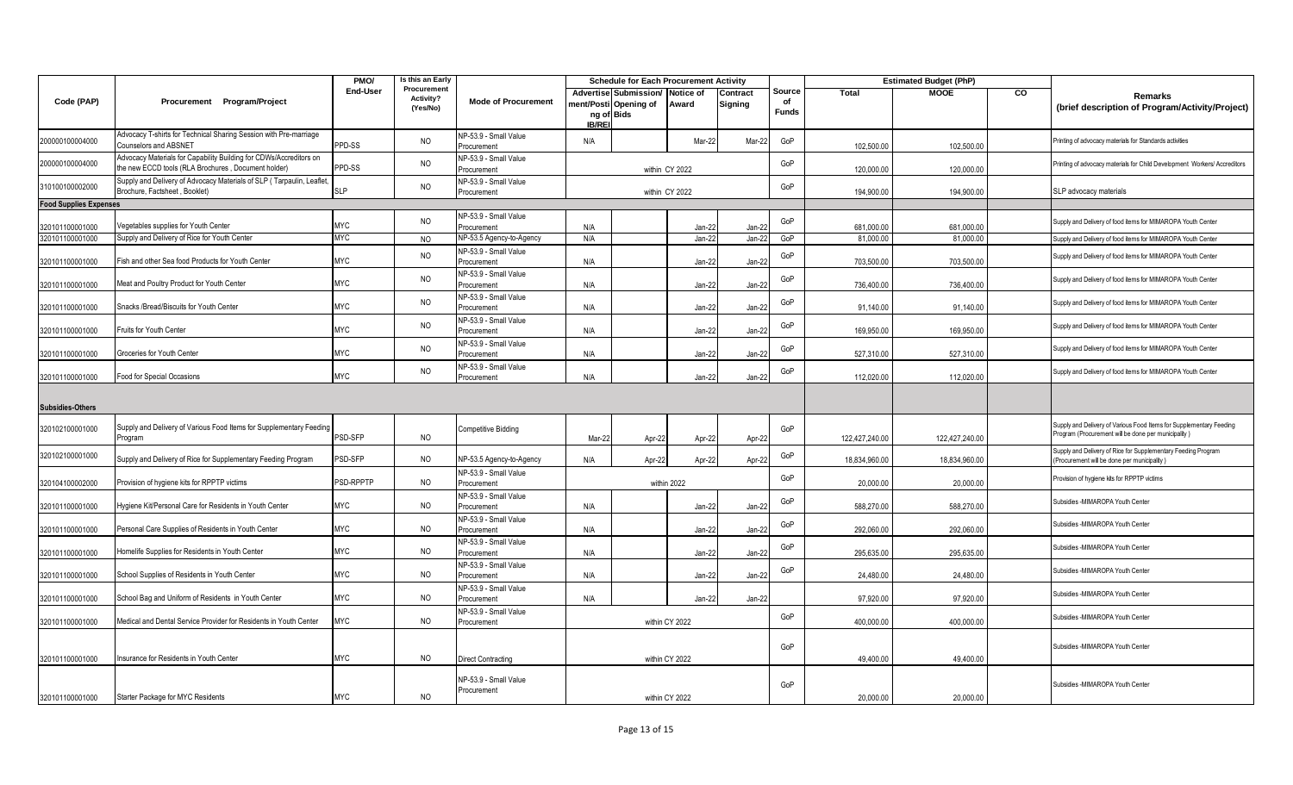|                               |                                                                                                                           | PMO/            | Is this an Early                     |                                      | <b>Schedule for Each Procurement Activity</b> |                                                              |                    |                     |                              |                | <b>Estimated Budget (PhP)</b> |    |                                                                                                                            |
|-------------------------------|---------------------------------------------------------------------------------------------------------------------------|-----------------|--------------------------------------|--------------------------------------|-----------------------------------------------|--------------------------------------------------------------|--------------------|---------------------|------------------------------|----------------|-------------------------------|----|----------------------------------------------------------------------------------------------------------------------------|
| Code (PAP)                    | Procurement Program/Project                                                                                               | <b>End-User</b> | Procurement<br>Activity?<br>(Yes/No) | <b>Mode of Procurement</b>           | <b>IB/REI</b>                                 | Advertise Submission/<br>nent/Posti Opening of<br>ng of Bids | Notice of<br>Award | Contract<br>Signing | Source<br>of<br><b>Funds</b> | Total          | <b>MOOE</b>                   | CO | Remarks<br>(brief description of Program/Activity/Project)                                                                 |
| 200000100004000               | Advocacy T-shirts for Technical Sharing Session with Pre-marriage<br><b>Counselors and ABSNET</b>                         | PPD-SS          | <b>NO</b>                            | NP-53.9 - Small Value<br>Procurement | N/A                                           |                                                              | Mar-22             | Mar-22              | GoP                          | 102,500.00     | 102,500.00                    |    | Printing of advocacy materials for Standards activities                                                                    |
| 200000100004000               | Advocacy Materials for Capability Building for CDWs/Accreditors on<br>the new ECCD tools (RLA Brochures, Document holder) | PPD-SS          | <b>NO</b>                            | NP-53.9 - Small Value<br>Procurement | within CY 2022                                |                                                              |                    |                     | GoP                          | 120,000.00     | 120,000.00                    |    | Printing of advocacy materials for Child Development Workers/ Accreditors                                                  |
| 310100100002000               | Supply and Delivery of Advocacy Materials of SLP (Tarpaulin, Leaflet,<br>Brochure, Factsheet, Booklet)                    | SLP             | <b>NO</b>                            | NP-53.9 - Small Value<br>Procurement | within CY 2022                                |                                                              |                    |                     | GoP                          | 194,900.00     | 194,900.00                    |    | SLP advocacy materials                                                                                                     |
| <b>Food Supplies Expenses</b> |                                                                                                                           |                 |                                      |                                      |                                               |                                                              |                    |                     |                              |                |                               |    |                                                                                                                            |
| 320101100001000               | /egetables supplies for Youth Center                                                                                      | <b>MYC</b>      | <b>NO</b>                            | NP-53.9 - Small Value<br>Procurement | N/A                                           |                                                              | $Jan-22$           | Jan-22              | GoP                          | 681.000.00     | 681.000.00                    |    | Supply and Delivery of food items for MIMAROPA Youth Center                                                                |
| 320101100001000               | Supply and Delivery of Rice for Youth Center                                                                              | <b>MYC</b>      | <b>NO</b>                            | NP-53.5 Agency-to-Agency             | N/A                                           |                                                              | Jan-22             | Jan-22              | GoP                          | 81,000.00      | 81,000.00                     |    | Supply and Delivery of food items for MIMAROPA Youth Center                                                                |
| 320101100001000               | Fish and other Sea food Products for Youth Center                                                                         | <b>MYC</b>      | <b>NO</b>                            | NP-53.9 - Small Value<br>Procurement | N/A                                           |                                                              | Jan-22             | Jan-22              | GoP                          | 703,500.00     | 703,500.00                    |    | Supply and Delivery of food items for MIMAROPA Youth Center                                                                |
| 320101100001000               | Meat and Poultry Product for Youth Center                                                                                 | <b>MYC</b>      | <b>NO</b>                            | NP-53.9 - Small Value<br>Procurement | N/A                                           |                                                              | Jan-22             | Jan-22              | GoP                          | 736,400.00     | 736,400.00                    |    | Supply and Delivery of food items for MIMAROPA Youth Center                                                                |
| 320101100001000               | Snacks /Bread/Biscuits for Youth Center                                                                                   | <b>MYC</b>      | <b>NO</b>                            | NP-53.9 - Small Value<br>Procurement | N/A                                           |                                                              | Jan-22             | Jan-22              | GoP                          | 91,140.00      | 91,140.00                     |    | Supply and Delivery of food items for MIMAROPA Youth Center                                                                |
| 320101100001000               | Fruits for Youth Center                                                                                                   | <b>MYC</b>      | <b>NO</b>                            | NP-53.9 - Small Value<br>Procurement | N/A                                           |                                                              | Jan-22             | Jan-22              | GoP                          | 169,950.00     | 169,950.00                    |    | Supply and Delivery of food items for MIMAROPA Youth Center                                                                |
| 320101100001000               | Groceries for Youth Center                                                                                                | <b>MYC</b>      | <b>NO</b>                            | NP-53.9 - Small Value<br>Procurement | N/A                                           |                                                              | Jan-22             | Jan-22              | GoP                          | 527,310.00     | 527,310.00                    |    | Supply and Delivery of food items for MIMAROPA Youth Center                                                                |
| 320101100001000               | Food for Special Occasions                                                                                                | <b>MYC</b>      | <b>NO</b>                            | NP-53.9 - Small Value<br>Procurement | N/A                                           |                                                              | Jan-22             | Jan-22              | GoP                          | 112,020.00     | 112,020.00                    |    | Supply and Delivery of food items for MIMAROPA Youth Center                                                                |
| <b>Subsidies-Others</b>       |                                                                                                                           |                 |                                      |                                      |                                               |                                                              |                    |                     |                              |                |                               |    |                                                                                                                            |
| 320102100001000               | Supply and Delivery of Various Food Items for Supplementary Feeding<br>Program                                            | PSD-SFP         | <b>NO</b>                            | Competitive Bidding                  | Mar-22                                        | Apr-22                                                       | Apr-22             | Apr-22              | GoP                          | 122,427,240.00 | 122,427,240.00                |    | Supply and Delivery of Various Food Items for Supplementary Feeding<br>Program (Procurement will be done per municipality) |
| 320102100001000               | Supply and Delivery of Rice for Supplementary Feeding Program                                                             | PSD-SFP         | <b>NO</b>                            | NP-53.5 Agency-to-Agency             | N/A                                           | Apr-22                                                       | Apr-22             | Apr-22              | GoP                          | 18,834,960.00  | 18,834,960.00                 |    | Supply and Delivery of Rice for Supplementary Feeding Program<br>Procurement will be done per municipality                 |
| 320104100002000               | Provision of hygiene kits for RPPTP victims                                                                               | PSD-RPPTP       | <b>NO</b>                            | NP-53.9 - Small Value<br>Procurement | within 2022                                   |                                                              |                    |                     |                              | 20,000.00      | 20,000.00                     |    | Provision of hygiene kits for RPPTP victims                                                                                |
| 320101100001000               | Hygiene Kit/Personal Care for Residents in Youth Center                                                                   | <b>MYC</b>      | NO                                   | NP-53.9 - Small Value<br>Procurement | N/A                                           |                                                              | Jan-22             | Jan-22              | GoP                          | 588,270.00     | 588,270.00                    |    | Subsidies -MIMAROPA Youth Center                                                                                           |
| 320101100001000               | Personal Care Supplies of Residents in Youth Center                                                                       | MYC             | <b>NO</b>                            | NP-53.9 - Small Value<br>Procurement | N/A                                           |                                                              | $Jan-22$           | Jan-22              | GoP                          | 292.060.00     | 292.060.00                    |    | Subsidies -MIMAROPA Youth Center                                                                                           |
| 320101100001000               | Homelife Supplies for Residents in Youth Center                                                                           | <b>MYC</b>      | <b>NO</b>                            | NP-53.9 - Small Value<br>Procurement | N/A                                           |                                                              | Jan-22             | Jan-22              | GoP                          | 295,635.00     | 295,635.00                    |    | Subsidies -MIMAROPA Youth Center                                                                                           |
| 320101100001000               | School Supplies of Residents in Youth Center                                                                              | <b>MYC</b>      | <b>NO</b>                            | NP-53.9 - Small Value<br>Procurement | N/A                                           |                                                              | Jan-22             | Jan-22              | GoP                          | 24,480.00      | 24,480.00                     |    | Subsidies -MIMAROPA Youth Center                                                                                           |
| 320101100001000               | School Bag and Uniform of Residents in Youth Center                                                                       | MYC             | <b>NO</b>                            | NP-53.9 - Small Value<br>Procurement | N/A                                           |                                                              | Jan-22             | Jan-22              |                              | 97,920.00      | 97,920.00                     |    | Subsidies -MIMAROPA Youth Center                                                                                           |
| 320101100001000               | Medical and Dental Service Provider for Residents in Youth Center                                                         | MYC             | NO                                   | NP-53.9 - Small Value<br>Procurement | within CY 2022                                |                                                              |                    |                     | GoP                          | 400,000.00     | 400,000.00                    |    | Subsidies -MIMAROPA Youth Center                                                                                           |
| 320101100001000               | Insurance for Residents in Youth Center                                                                                   | <b>MYC</b>      | <b>NO</b>                            | <b>Direct Contracting</b>            | within CY 2022                                |                                                              |                    |                     | GoP                          | 49,400.00      | 49,400.00                     |    | Subsidies -MIMAROPA Youth Center                                                                                           |
|                               |                                                                                                                           |                 |                                      | NP-53.9 - Small Value<br>Procurement |                                               |                                                              |                    |                     | GoP                          |                |                               |    | Subsidies -MIMAROPA Youth Center                                                                                           |
| 320101100001000               | Starter Package for MYC Residents                                                                                         | MYC             | <b>NO</b>                            |                                      | within CY 2022                                |                                                              |                    |                     |                              | 20.000.00      | 20,000.00                     |    |                                                                                                                            |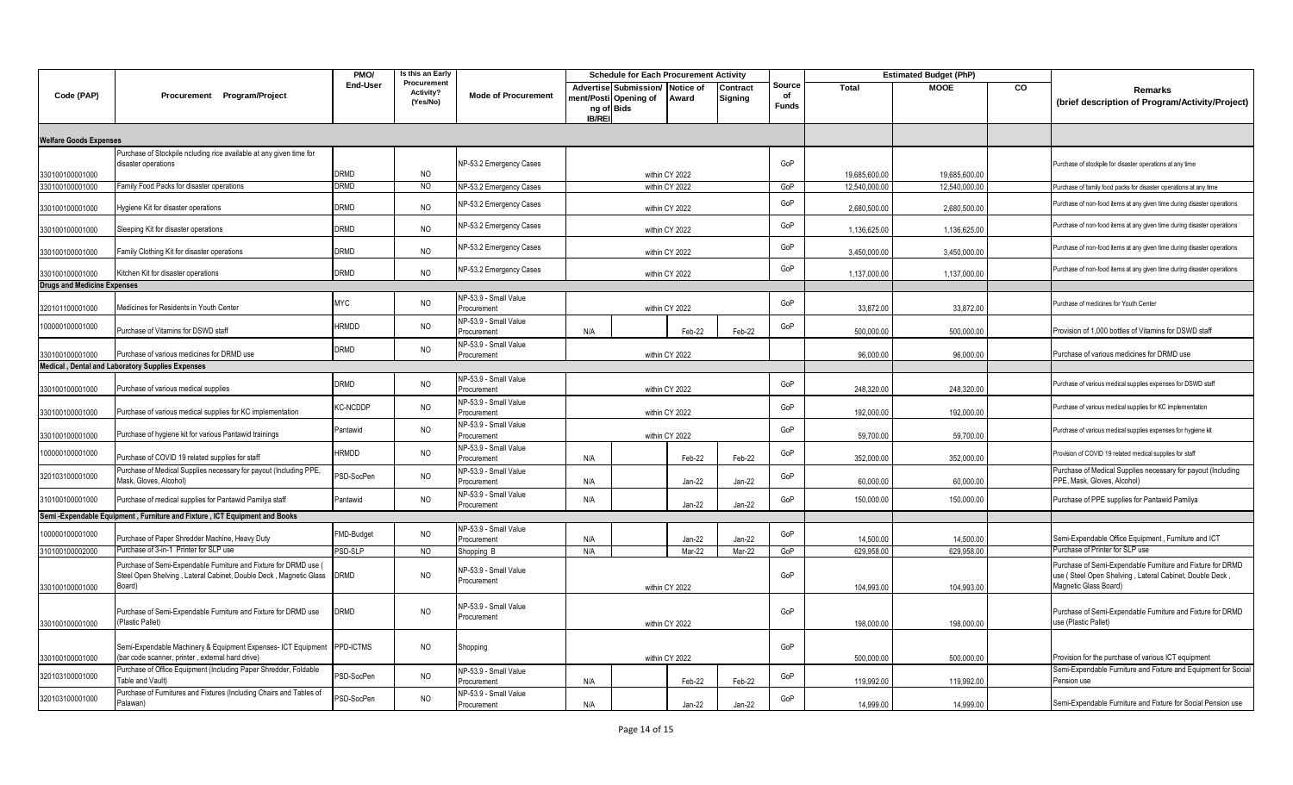|                                    |                                                                                                                                                 | PMO/             | Is this an Early                     |                                      | <b>Schedule for Each Procurement Activity</b> |                                                |                    |                     |                              |               | <b>Estimated Budget (PhP)</b> |    |                                                                                                                                                |
|------------------------------------|-------------------------------------------------------------------------------------------------------------------------------------------------|------------------|--------------------------------------|--------------------------------------|-----------------------------------------------|------------------------------------------------|--------------------|---------------------|------------------------------|---------------|-------------------------------|----|------------------------------------------------------------------------------------------------------------------------------------------------|
| Code (PAP)                         | Procurement Program/Project                                                                                                                     | <b>End-User</b>  | Procurement<br>Activity?<br>(Yes/No) | <b>Mode of Procurement</b>           | ng of Bids<br><b>IB/REI</b>                   | Advertise Submission/<br>nent/Posti Opening of | Notice of<br>Award | Contract<br>Signing | Source<br>of<br><b>Funds</b> | Total         | <b>MOOE</b>                   | CO | Remarks<br>(brief description of Program/Activity/Project)                                                                                     |
| <b>Welfare Goods Expenses</b>      |                                                                                                                                                 |                  |                                      |                                      |                                               |                                                |                    |                     |                              |               |                               |    |                                                                                                                                                |
| 330100100001000                    | Purchase of Stockpile ncluding rice available at any given time for<br>disaster operations                                                      | DRMD             | <b>NO</b>                            | NP-53.2 Emergency Cases              | within CY 2022                                |                                                |                    |                     |                              | 19,685,600.00 | 19,685,600.00                 |    | Purchase of stockpile for disaster operations at any time                                                                                      |
| 330100100001000                    | Family Food Packs for disaster operations                                                                                                       | DRMD             | N <sub>O</sub>                       | NP-53.2 Emergency Cases              | within CY 2022                                |                                                |                    |                     |                              | 12,540,000.00 | 12,540,000.00                 |    | Purchase of family food packs for disaster operations at any time                                                                              |
| 330100100001000                    | Hygiene Kit for disaster operations                                                                                                             | DRMD             | <b>NO</b>                            | NP-53.2 Emergency Cases              | within CY 2022                                |                                                |                    |                     |                              | 2,680,500.00  | 2,680,500.00                  |    | Purchase of non-food items at any given time during disaster operations                                                                        |
| 330100100001000                    | Sleeping Kit for disaster operations                                                                                                            | DRMD             | <b>NO</b>                            | NP-53.2 Emergency Cases              | within CY 2022                                |                                                |                    |                     |                              | 1,136,625.00  | 1,136,625.00                  |    | Purchase of non-food items at any given time during disaster operations                                                                        |
| 330100100001000                    | Family Clothing Kit for disaster operations                                                                                                     | DRMD             | <b>NO</b>                            | NP-53.2 Emergency Cases              | within CY 2022                                |                                                |                    |                     | GoP                          | 3,450,000.00  | 3,450,000.00                  |    | Purchase of non-food items at any given time during disaster operations                                                                        |
| 330100100001000                    | Kitchen Kit for disaster operations                                                                                                             | <b>DRMD</b>      | <b>NO</b>                            | NP-53.2 Emergency Cases              | within CY 2022                                |                                                |                    |                     |                              | 1.137.000.00  | 1,137,000.00                  |    | Purchase of non-food items at any given time during disaster operations                                                                        |
| <b>Drugs and Medicine Expenses</b> |                                                                                                                                                 |                  |                                      |                                      |                                               |                                                |                    |                     |                              |               |                               |    |                                                                                                                                                |
| 320101100001000                    | Medicines for Residents in Youth Center                                                                                                         | <b>MYC</b>       | <b>NO</b>                            | NP-53.9 - Small Value<br>Procurement | within CY 2022                                |                                                |                    |                     | GoP                          | 33,872.00     | 33,872.00                     |    | Purchase of medicines for Youth Center                                                                                                         |
| 100000100001000                    | Purchase of Vitamins for DSWD staff                                                                                                             | HRMDD            | <b>NO</b>                            | NP-53.9 - Small Value<br>Procurement | N/A                                           |                                                | Feb-22             | Feb-22              | GoP                          | 500.000.00    | 500,000.00                    |    | Provision of 1,000 bottles of Vitamins for DSWD staff                                                                                          |
| 330100100001000                    | Purchase of various medicines for DRMD use                                                                                                      | DRMD             | <b>NO</b>                            | NP-53.9 - Small Value<br>Procurement | within CY 2022                                |                                                |                    |                     |                              | 96,000.00     | 96,000.00                     |    | Purchase of various medicines for DRMD use                                                                                                     |
|                                    | Medical, Dental and Laboratory Supplies Expenses                                                                                                |                  |                                      |                                      |                                               |                                                |                    |                     |                              |               |                               |    |                                                                                                                                                |
| 330100100001000                    | Purchase of various medical supplies                                                                                                            | Drmd             | <b>NO</b>                            | NP-53.9 - Small Value<br>Procurement | within CY 2022                                |                                                |                    |                     | GoP                          | 248,320.00    | 248,320.00                    |    | Purchase of various medical supplies expenses for DSWD staff                                                                                   |
| 330100100001000                    | Purchase of various medical supplies for KC implementation                                                                                      | KC-NCDDP         | <b>NO</b>                            | NP-53.9 - Small Value<br>Procurement | within CY 2022                                |                                                |                    |                     |                              | 192,000.00    | 192,000.00                    |    | Purchase of various medical supplies for KC implementation                                                                                     |
| 330100100001000                    | Purchase of hygiene kit for various Pantawid trainings                                                                                          | Pantawid         | <b>NO</b>                            | NP-53.9 - Small Value<br>Procurement | within CY 2022                                |                                                |                    |                     | GoP                          | 59,700.00     | 59,700.00                     |    | Purchase of various medical supplies expenses for hygiene kit                                                                                  |
| 100000100001000                    | Purchase of COVID 19 related supplies for staff                                                                                                 | HRMDD            | <b>NO</b>                            | NP-53.9 - Small Value<br>Procurement | Feb-22<br>Feb-22<br>N/A                       |                                                |                    |                     | GoP                          | 352,000.00    | 352,000.00                    |    | Provision of COVID 19 related medical supplies for staff                                                                                       |
| 320103100001000                    | Purchase of Medical Supplies necessary for payout (Including PPE,<br>Mask, Gloves, Alcohol)                                                     | SD-SocPen        | <b>NO</b>                            | NP-53.9 - Small Value<br>Procurement | Jan-22<br>$Jan-22$<br>N/A                     |                                                |                    |                     | GoP                          | 60,000.00     | 60,000.00                     |    | Purchase of Medical Supplies necessary for payout (Including<br>PPE, Mask, Gloves, Alcohol)                                                    |
| 310100100001000                    | Purchase of medical supplies for Pantawid Pamilya staff                                                                                         | Pantawid         | <b>NO</b>                            | NP-53.9 - Small Value<br>Procurement | N/A                                           |                                                | Jan-22             | $Jan-22$            | GoP                          | 150,000.00    | 150,000.00                    |    | Purchase of PPE supplies for Pantawid Pamilya                                                                                                  |
|                                    | Semi - Expendable Equipment, Furniture and Fixture, ICT Equipment and Books                                                                     |                  |                                      |                                      |                                               |                                                |                    |                     |                              |               |                               |    |                                                                                                                                                |
| 100000100001000                    | Purchase of Paper Shredder Machine, Heavy Duty                                                                                                  | MD-Budget        | <b>NO</b>                            | NP-53.9 - Small Value<br>Procurement | N/A                                           |                                                | $Jan-22$           | $Jan-22$            | GoP                          | 14.500.00     | 14,500.00                     |    | Semi-Expendable Office Equipment, Furniture and ICT                                                                                            |
| 310100100002000                    | Purchase of 3-in-1 Printer for SLP use                                                                                                          | PSD-SLP          | <b>NO</b>                            | Shopping B                           | N/A                                           |                                                | Mar-22             | Mar-22              | GoP                          | 629.958.00    | 629,958.00                    |    | Purchase of Printer for SLP use                                                                                                                |
| 330100100001000                    | Purchase of Semi-Expendable Furniture and Fixture for DRMD use (<br>Steel Open Shelving, Lateral Cabinet, Double Deck, Magnetic Glass<br>Board) | <b>DRMD</b>      | <b>NO</b>                            | NP-53.9 - Small Value<br>Procurement |                                               |                                                | within CY 2022     |                     | GoP                          | 104.993.00    | 104,993.00                    |    | Purchase of Semi-Expendable Furniture and Fixture for DRMD<br>use (Steel Open Shelving, Lateral Cabinet, Double Deck,<br>Magnetic Glass Board) |
| 330100100001000                    | Purchase of Semi-Expendable Furniture and Fixture for DRMD use<br>(Plastic Pallet)                                                              | DRMD             | <b>NO</b>                            | NP-53.9 - Small Value<br>Procurement | within CY 2022                                |                                                |                    |                     | GoP                          | 198,000.00    | 198,000.00                    |    | Purchase of Semi-Expendable Furniture and Fixture for DRMD<br>use (Plastic Pallet)                                                             |
| 330100100001000                    | Semi-Expendable Machinery & Equipment Expenses- ICT Equipment<br>(bar code scanner, printer, external hard drive)                               | PPD-ICTMS        | <b>NO</b>                            | Shopping                             | within CY 2022                                |                                                |                    |                     | GoP                          | 500.000.00    | 500.000.00                    |    | Provision for the purchase of various ICT equipment                                                                                            |
| 320103100001000                    | Purchase of Office Equipment (Including Paper Shredder, Foldable<br>Table and Vault)                                                            | <b>SD-SocPen</b> | <b>NO</b>                            | NP-53.9 - Small Value<br>Procurement | N/A                                           |                                                | Feb-22             | Feb-22              | GoP                          | 119,992.00    | 119,992.00                    |    | Semi-Expendable Furniture and Fixture and Equipment for Social<br>Pension use                                                                  |
| 320103100001000                    | Purchase of Furnitures and Fixtures (Including Chairs and Tables of<br>Palawan)                                                                 | <b>SD-SocPen</b> | <b>NO</b>                            | NP-53.9 - Small Value<br>Procurement | N/A                                           |                                                | $Jan-22$           | $Jan-22$            | GoP                          | 14,999.00     | 14,999.00                     |    | Semi-Expendable Furniture and Fixture for Social Pension use                                                                                   |